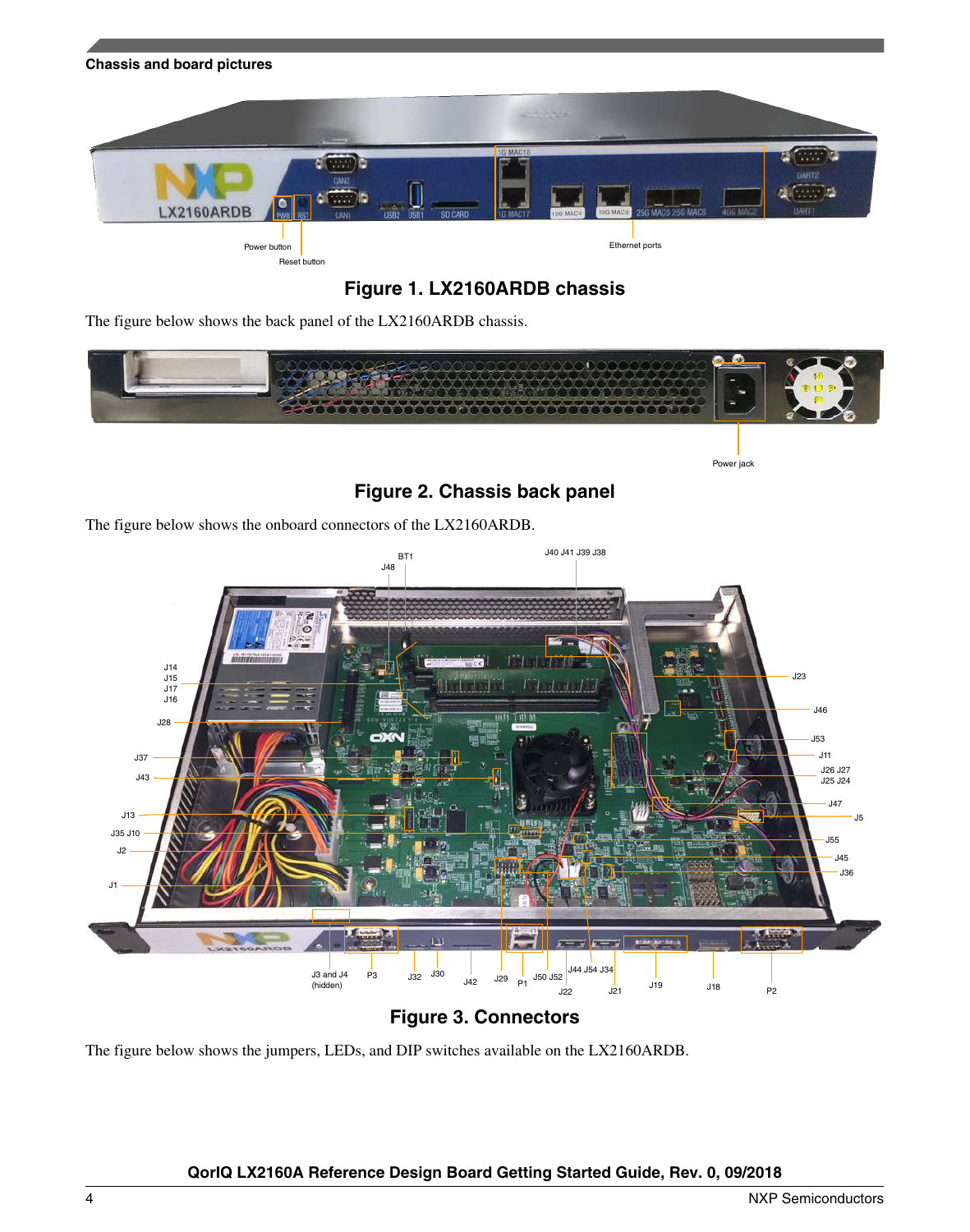<span id="page-3-0"></span>



The figure below shows the back panel of the LX2160ARDB chassis.



Power jack

**Figure 2. Chassis back panel**

The figure below shows the onboard connectors of the LX2160ARDB.



### **Figure 3. Connectors**

The figure below shows the jumpers, LEDs, and DIP switches available on the LX2160ARDB.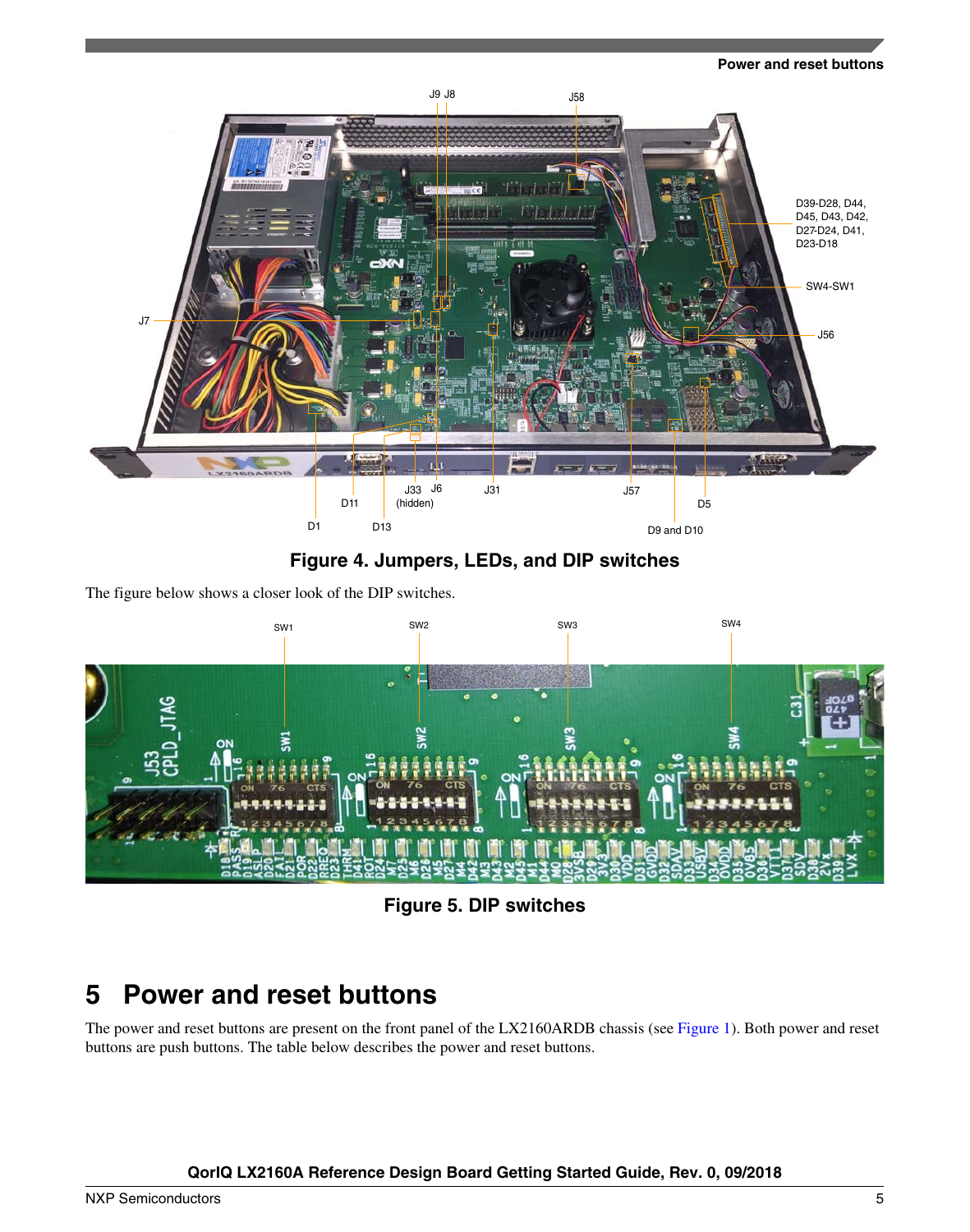#### **Power and reset buttons**



**Figure 4. Jumpers, LEDs, and DIP switches**

The figure below shows a closer look of the DIP switches.



**Figure 5. DIP switches**

# **5 Power and reset buttons**

The power and reset buttons are present on the front panel of the LX2160ARDB chassis (see [Figure 1](#page-2-0)). Both power and reset buttons are push buttons. The table below describes the power and reset buttons.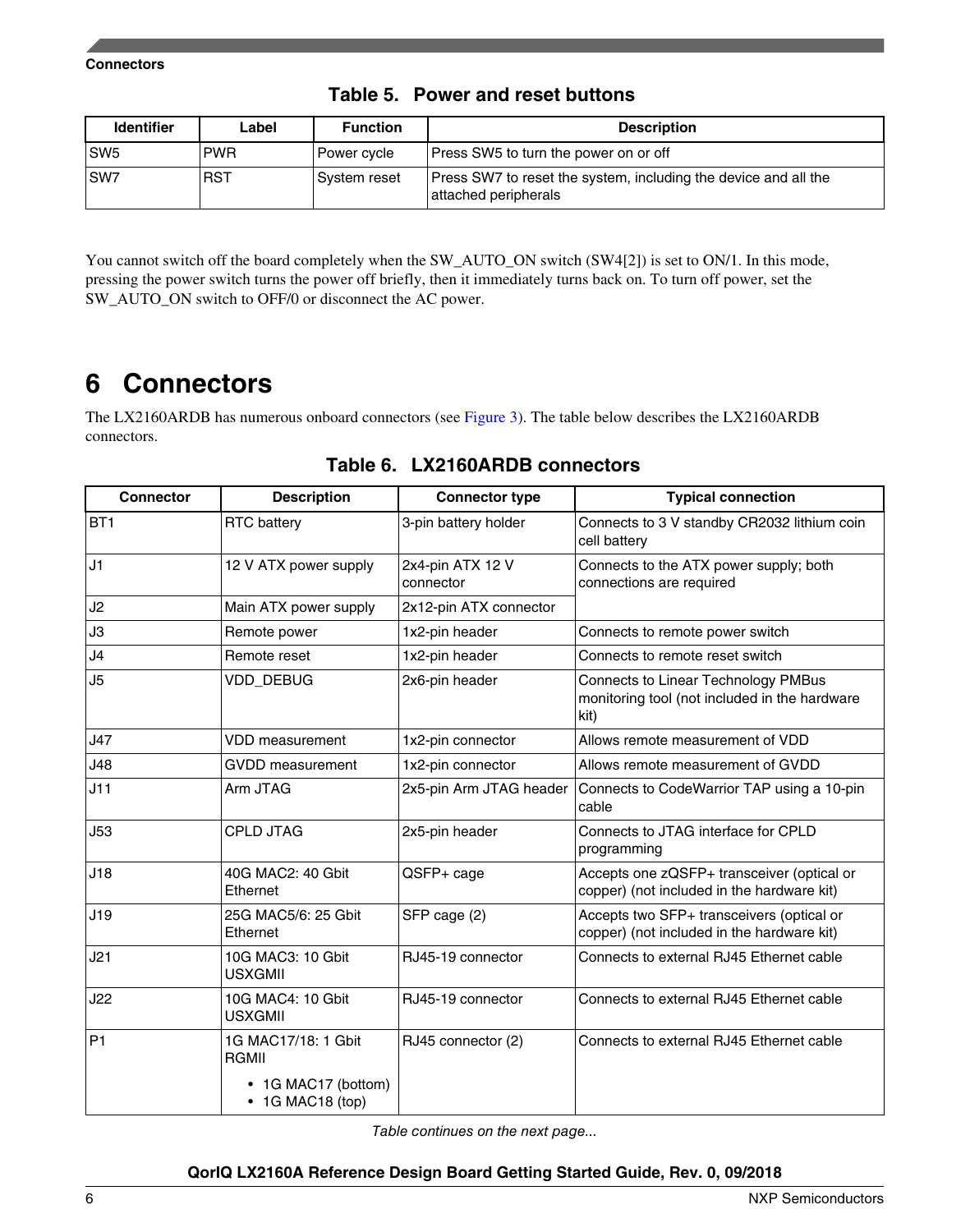| <b>Identifier</b> | Label      | <b>Function</b> | <b>Description</b>                                                                      |
|-------------------|------------|-----------------|-----------------------------------------------------------------------------------------|
| SW <sub>5</sub>   | <b>PWR</b> | Power cycle     | Press SW5 to turn the power on or off                                                   |
| ISW7              | <b>RST</b> | Svstem reset    | Press SW7 to reset the system, including the device and all the<br>attached peripherals |

**Table 5. Power and reset buttons**

You cannot switch off the board completely when the SW\_AUTO\_ON switch (SW4[2]) is set to ON/1. In this mode, pressing the power switch turns the power off briefly, then it immediately turns back on. To turn off power, set the SW\_AUTO\_ON switch to OFF/0 or disconnect the AC power.

## **6 Connectors**

The LX2160ARDB has numerous onboard connectors (see [Figure 3\)](#page-3-0). The table below describes the LX2160ARDB connectors.

| <b>Connector</b> | <b>Description</b>                                                      | <b>Connector type</b>         | <b>Typical connection</b>                                                                    |
|------------------|-------------------------------------------------------------------------|-------------------------------|----------------------------------------------------------------------------------------------|
| BT1              | <b>RTC</b> battery                                                      | 3-pin battery holder          | Connects to 3 V standby CR2032 lithium coin<br>cell battery                                  |
| J1               | 12 V ATX power supply                                                   | 2x4-pin ATX 12 V<br>connector | Connects to the ATX power supply; both<br>connections are required                           |
| J2               | Main ATX power supply                                                   | 2x12-pin ATX connector        |                                                                                              |
| J3               | Remote power                                                            | 1x2-pin header                | Connects to remote power switch                                                              |
| J4               | Remote reset                                                            | 1x2-pin header                | Connects to remote reset switch                                                              |
| J5               | VDD_DEBUG                                                               | 2x6-pin header                | Connects to Linear Technology PMBus<br>monitoring tool (not included in the hardware<br>kit) |
| J47              | <b>VDD</b> measurement                                                  | 1x2-pin connector             | Allows remote measurement of VDD                                                             |
| J48              | <b>GVDD</b> measurement                                                 | 1x2-pin connector             | Allows remote measurement of GVDD                                                            |
| J11              | Arm JTAG                                                                | 2x5-pin Arm JTAG header       | Connects to CodeWarrior TAP using a 10-pin<br>cable                                          |
| J53              | <b>CPLD JTAG</b>                                                        | 2x5-pin header                | Connects to JTAG interface for CPLD<br>programming                                           |
| J18              | 40G MAC2: 40 Gbit<br>Ethernet                                           | QSFP+ cage                    | Accepts one zQSFP+ transceiver (optical or<br>copper) (not included in the hardware kit)     |
| J19              | 25G MAC5/6: 25 Gbit<br>Ethernet                                         | SFP cage (2)                  | Accepts two SFP+ transceivers (optical or<br>copper) (not included in the hardware kit)      |
| J21              | 10G MAC3: 10 Gbit<br><b>USXGMII</b>                                     | RJ45-19 connector             | Connects to external RJ45 Ethernet cable                                                     |
| J22              | 10G MAC4: 10 Gbit<br><b>USXGMII</b>                                     | RJ45-19 connector             | Connects to external RJ45 Ethernet cable                                                     |
| P1               | 1G MAC17/18: 1 Gbit<br>RGMII<br>• 1G MAC17 (bottom)<br>• 1G MAC18 (top) | RJ45 connector (2)            | Connects to external RJ45 Ethernet cable                                                     |

**Table 6. LX2160ARDB connectors**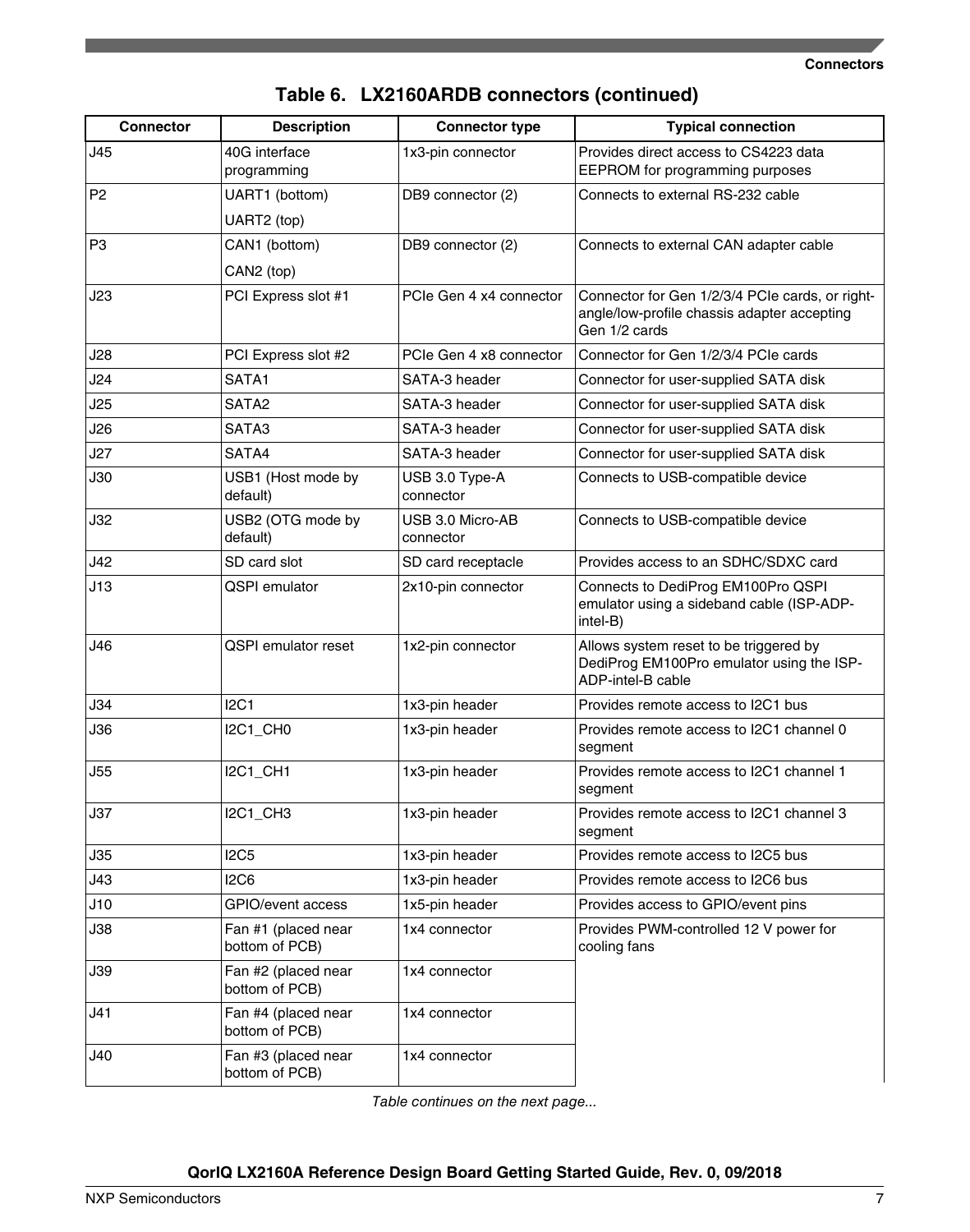| <b>Connector</b> | <b>Description</b>                    | <b>Connector type</b>         | <b>Typical connection</b>                                                                                       |
|------------------|---------------------------------------|-------------------------------|-----------------------------------------------------------------------------------------------------------------|
| J45              | 40G interface<br>programming          | 1x3-pin connector             | Provides direct access to CS4223 data<br>EEPROM for programming purposes                                        |
| P <sub>2</sub>   | UART1 (bottom)                        | DB9 connector (2)             | Connects to external RS-232 cable                                                                               |
|                  | UART2 (top)                           |                               |                                                                                                                 |
| P <sub>3</sub>   | CAN1 (bottom)                         | DB9 connector (2)             | Connects to external CAN adapter cable                                                                          |
|                  | CAN2 (top)                            |                               |                                                                                                                 |
| J23              | PCI Express slot #1                   | PCIe Gen 4 x4 connector       | Connector for Gen 1/2/3/4 PCIe cards, or right-<br>angle/low-profile chassis adapter accepting<br>Gen 1/2 cards |
| J28              | PCI Express slot #2                   | PCIe Gen 4 x8 connector       | Connector for Gen 1/2/3/4 PCIe cards                                                                            |
| J24              | SATA1                                 | SATA-3 header                 | Connector for user-supplied SATA disk                                                                           |
| J25              | SATA <sub>2</sub>                     | SATA-3 header                 | Connector for user-supplied SATA disk                                                                           |
| J26              | SATA3                                 | SATA-3 header                 | Connector for user-supplied SATA disk                                                                           |
| J27              | SATA4                                 | SATA-3 header                 | Connector for user-supplied SATA disk                                                                           |
| J30              | USB1 (Host mode by<br>default)        | USB 3.0 Type-A<br>connector   | Connects to USB-compatible device                                                                               |
| J32              | USB2 (OTG mode by<br>default)         | USB 3.0 Micro-AB<br>connector | Connects to USB-compatible device                                                                               |
| J42              | SD card slot                          | SD card receptacle            | Provides access to an SDHC/SDXC card                                                                            |
| J13              | <b>QSPI</b> emulator                  | 2x10-pin connector            | Connects to DediProg EM100Pro QSPI<br>emulator using a sideband cable (ISP-ADP-<br>intel-B)                     |
| J46              | <b>QSPI</b> emulator reset            | 1x2-pin connector             | Allows system reset to be triggered by<br>DediProg EM100Pro emulator using the ISP-<br>ADP-intel-B cable        |
| J34              | <b>I2C1</b>                           | 1x3-pin header                | Provides remote access to I2C1 bus                                                                              |
| J36              | I2C1_CH0                              | 1x3-pin header                | Provides remote access to I2C1 channel 0<br>segment                                                             |
| J55              | <b>I2C1_CH1</b>                       | 1x3-pin header                | Provides remote access to I2C1 channel 1<br>segment                                                             |
| J37              | I2C1_CH3                              | 1x3-pin header                | Provides remote access to I2C1 channel 3<br>segment                                                             |
| J35              | <b>I2C5</b>                           | 1x3-pin header                | Provides remote access to I2C5 bus                                                                              |
| J43              | <b>I2C6</b>                           | 1x3-pin header                | Provides remote access to I2C6 bus                                                                              |
| J10              | GPIO/event access                     | 1x5-pin header                | Provides access to GPIO/event pins                                                                              |
| J38              | Fan #1 (placed near<br>bottom of PCB) | 1x4 connector                 | Provides PWM-controlled 12 V power for<br>cooling fans                                                          |
| J39              | Fan #2 (placed near<br>bottom of PCB) | 1x4 connector                 |                                                                                                                 |
| J41              | Fan #4 (placed near<br>bottom of PCB) | 1x4 connector                 |                                                                                                                 |
| J40              | Fan #3 (placed near<br>bottom of PCB) | 1x4 connector                 |                                                                                                                 |

## **Table 6. LX2160ARDB connectors (continued)**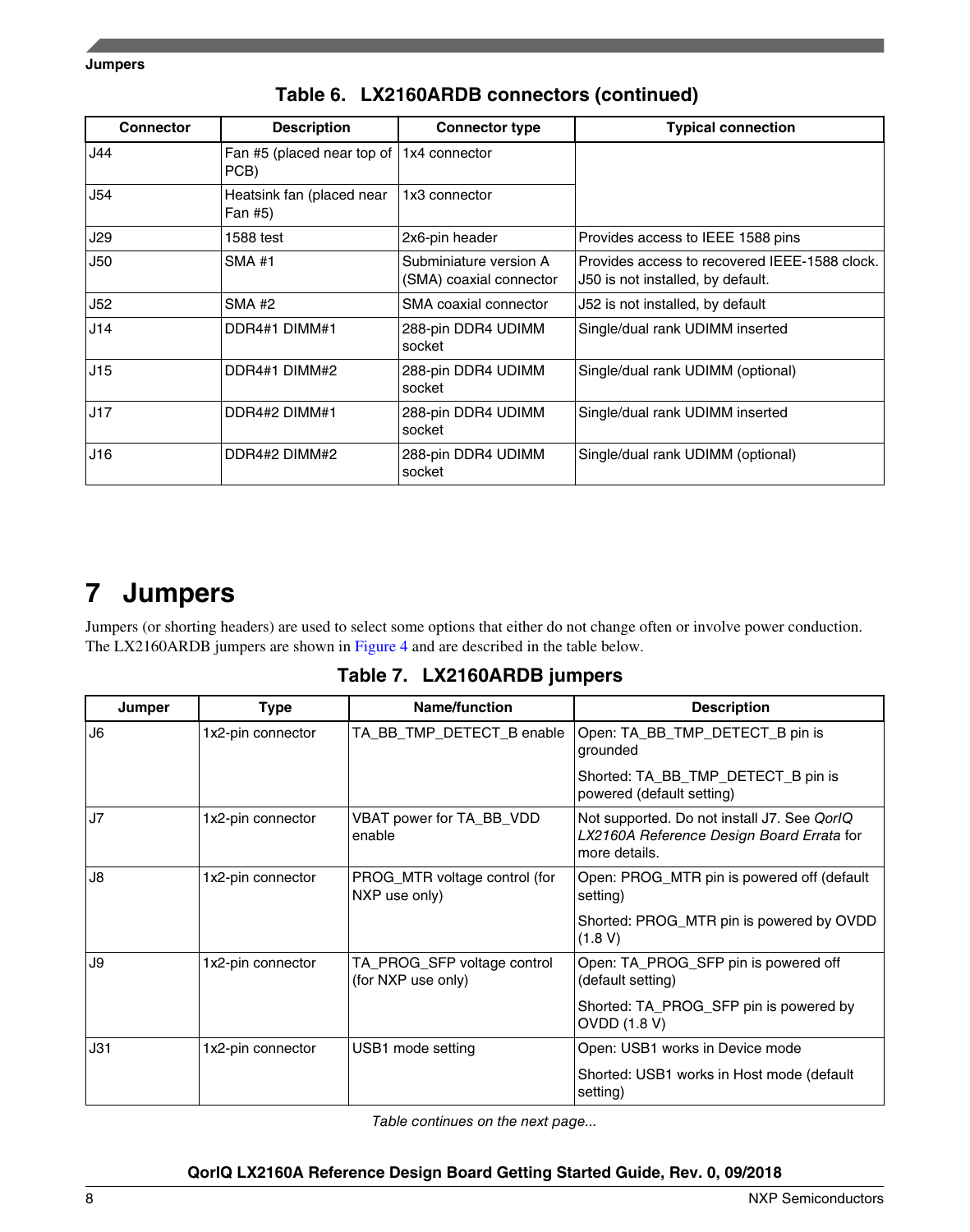<span id="page-7-0"></span>**Jumpers**

| <b>Connector</b> | <b>Description</b>                                       | <b>Connector type</b>                             | <b>Typical connection</b>                                                          |
|------------------|----------------------------------------------------------|---------------------------------------------------|------------------------------------------------------------------------------------|
| 44ل              | Fan #5 (placed near top of $\vert$ 1x4 connector<br>PCB) |                                                   |                                                                                    |
| J54              | Heatsink fan (placed near<br>Fan #5)                     | 1x3 connector                                     |                                                                                    |
| J29              | 1588 test                                                | 2x6-pin header                                    | Provides access to IEEE 1588 pins                                                  |
| J50              | <b>SMA#1</b>                                             | Subminiature version A<br>(SMA) coaxial connector | Provides access to recovered IEEE-1588 clock.<br>J50 is not installed, by default. |
| J52              | <b>SMA #2</b>                                            | SMA coaxial connector                             | J52 is not installed, by default                                                   |
| J14              | DDR4#1 DIMM#1                                            | 288-pin DDR4 UDIMM<br>socket                      | Single/dual rank UDIMM inserted                                                    |
| J15              | DDR4#1 DIMM#2                                            | 288-pin DDR4 UDIMM<br>socket                      | Single/dual rank UDIMM (optional)                                                  |
| J17              | DDR4#2 DIMM#1                                            | 288-pin DDR4 UDIMM<br>socket                      | Single/dual rank UDIMM inserted                                                    |
| J16              | DDR4#2 DIMM#2                                            | 288-pin DDR4 UDIMM<br>socket                      | Single/dual rank UDIMM (optional)                                                  |

### **Table 6. LX2160ARDB connectors (continued)**

## **7 Jumpers**

Jumpers (or shorting headers) are used to select some options that either do not change often or involve power conduction. The LX2160ARDB jumpers are shown in [Figure 4](#page-3-0) and are described in the table below.

|  | Table 7. LX2160ARDB jumpers |  |
|--|-----------------------------|--|
|--|-----------------------------|--|

| Jumper         | <b>Type</b>       | Name/function                                     | <b>Description</b>                                                                                        |
|----------------|-------------------|---------------------------------------------------|-----------------------------------------------------------------------------------------------------------|
| J <sub>6</sub> | 1x2-pin connector | TA_BB_TMP_DETECT_B enable                         | Open: TA_BB_TMP_DETECT_B pin is<br>grounded                                                               |
|                |                   |                                                   | Shorted: TA BB TMP DETECT B pin is<br>powered (default setting)                                           |
| J7             | 1x2-pin connector | VBAT power for TA_BB_VDD<br>enable                | Not supported. Do not install J7. See QorlQ<br>LX2160A Reference Design Board Errata for<br>more details. |
| J8             | 1x2-pin connector | PROG_MTR voltage control (for<br>NXP use only)    | Open: PROG_MTR pin is powered off (default<br>setting)                                                    |
|                |                   |                                                   | Shorted: PROG_MTR pin is powered by OVDD<br>(1.8 V)                                                       |
| J9             | 1x2-pin connector | TA_PROG_SFP voltage control<br>(for NXP use only) | Open: TA_PROG_SFP pin is powered off<br>(default setting)                                                 |
|                |                   |                                                   | Shorted: TA_PROG_SFP pin is powered by<br><b>OVDD (1.8 V)</b>                                             |
| J31            | 1x2-pin connector | USB1 mode setting                                 | Open: USB1 works in Device mode                                                                           |
|                |                   |                                                   | Shorted: USB1 works in Host mode (default)<br>setting)                                                    |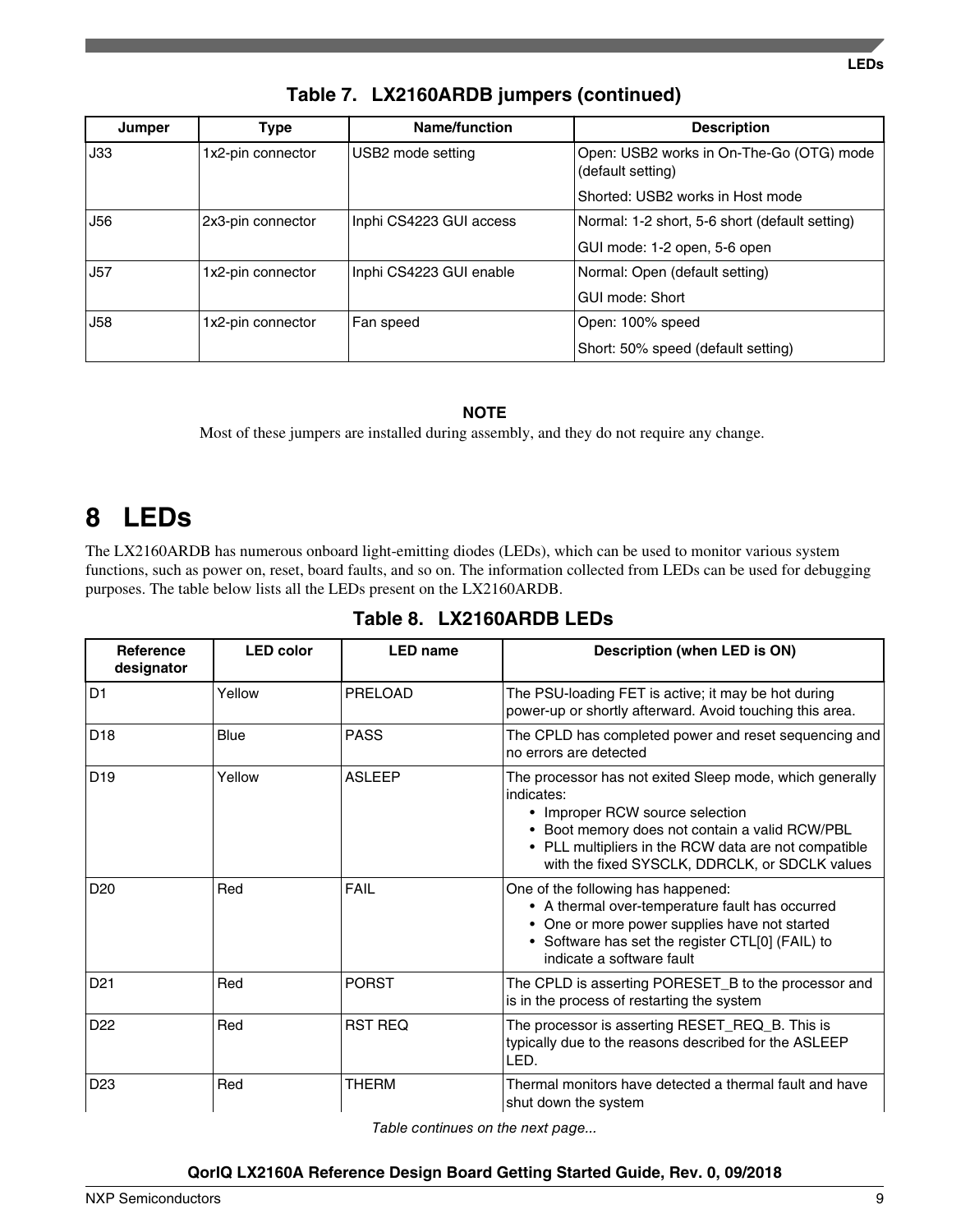| Jumper     | Type              | <b>Name/function</b>    | <b>Description</b>                                            |
|------------|-------------------|-------------------------|---------------------------------------------------------------|
| J33        | 1x2-pin connector | USB2 mode setting       | Open: USB2 works in On-The-Go (OTG) mode<br>(default setting) |
|            |                   |                         | Shorted: USB2 works in Host mode                              |
| J56        | 2x3-pin connector | Inphi CS4223 GUI access | Normal: 1-2 short, 5-6 short (default setting)                |
|            |                   |                         | GUI mode: 1-2 open, 5-6 open                                  |
| <b>J57</b> | 1x2-pin connector | Inphi CS4223 GUI enable | Normal: Open (default setting)                                |
|            |                   |                         | GUI mode: Short                                               |
| <b>J58</b> | 1x2-pin connector | Fan speed               | Open: 100% speed                                              |
|            |                   |                         | Short: 50% speed (default setting)                            |

**Table 7. LX2160ARDB jumpers (continued)**

### **NOTE**

Most of these jumpers are installed during assembly, and they do not require any change.

# **8 LEDs**

The LX2160ARDB has numerous onboard light-emitting diodes (LEDs), which can be used to monitor various system functions, such as power on, reset, board faults, and so on. The information collected from LEDs can be used for debugging purposes. The table below lists all the LEDs present on the LX2160ARDB.

| <b>Reference</b><br>designator | <b>LED</b> color | <b>LED name</b> | Description (when LED is ON)                                                                                                                                                                                                                                          |
|--------------------------------|------------------|-----------------|-----------------------------------------------------------------------------------------------------------------------------------------------------------------------------------------------------------------------------------------------------------------------|
| D <sub>1</sub>                 | Yellow           | PRELOAD         | The PSU-loading FET is active; it may be hot during<br>power-up or shortly afterward. Avoid touching this area.                                                                                                                                                       |
| D <sub>18</sub>                | Blue             | <b>PASS</b>     | The CPLD has completed power and reset sequencing and<br>no errors are detected                                                                                                                                                                                       |
| D <sub>19</sub>                | Yellow           | <b>ASLEEP</b>   | The processor has not exited Sleep mode, which generally<br>indicates:<br>• Improper RCW source selection<br>• Boot memory does not contain a valid RCW/PBL<br>• PLL multipliers in the RCW data are not compatible<br>with the fixed SYSCLK, DDRCLK, or SDCLK values |
| D <sub>20</sub>                | Red              | <b>FAIL</b>     | One of the following has happened:<br>• A thermal over-temperature fault has occurred<br>• One or more power supplies have not started<br>• Software has set the register CTL[0] (FAIL) to<br>indicate a software fault                                               |
| D <sub>21</sub>                | Red              | <b>PORST</b>    | The CPLD is asserting PORESET_B to the processor and<br>is in the process of restarting the system                                                                                                                                                                    |
| D <sub>22</sub>                | Red              | <b>RST REQ</b>  | The processor is asserting RESET_REQ_B. This is<br>typically due to the reasons described for the ASLEEP<br>LED.                                                                                                                                                      |
| D <sub>23</sub>                | Red              | <b>THERM</b>    | Thermal monitors have detected a thermal fault and have<br>shut down the system                                                                                                                                                                                       |

## **Table 8. LX2160ARDB LEDs**

*Table continues on the next page...*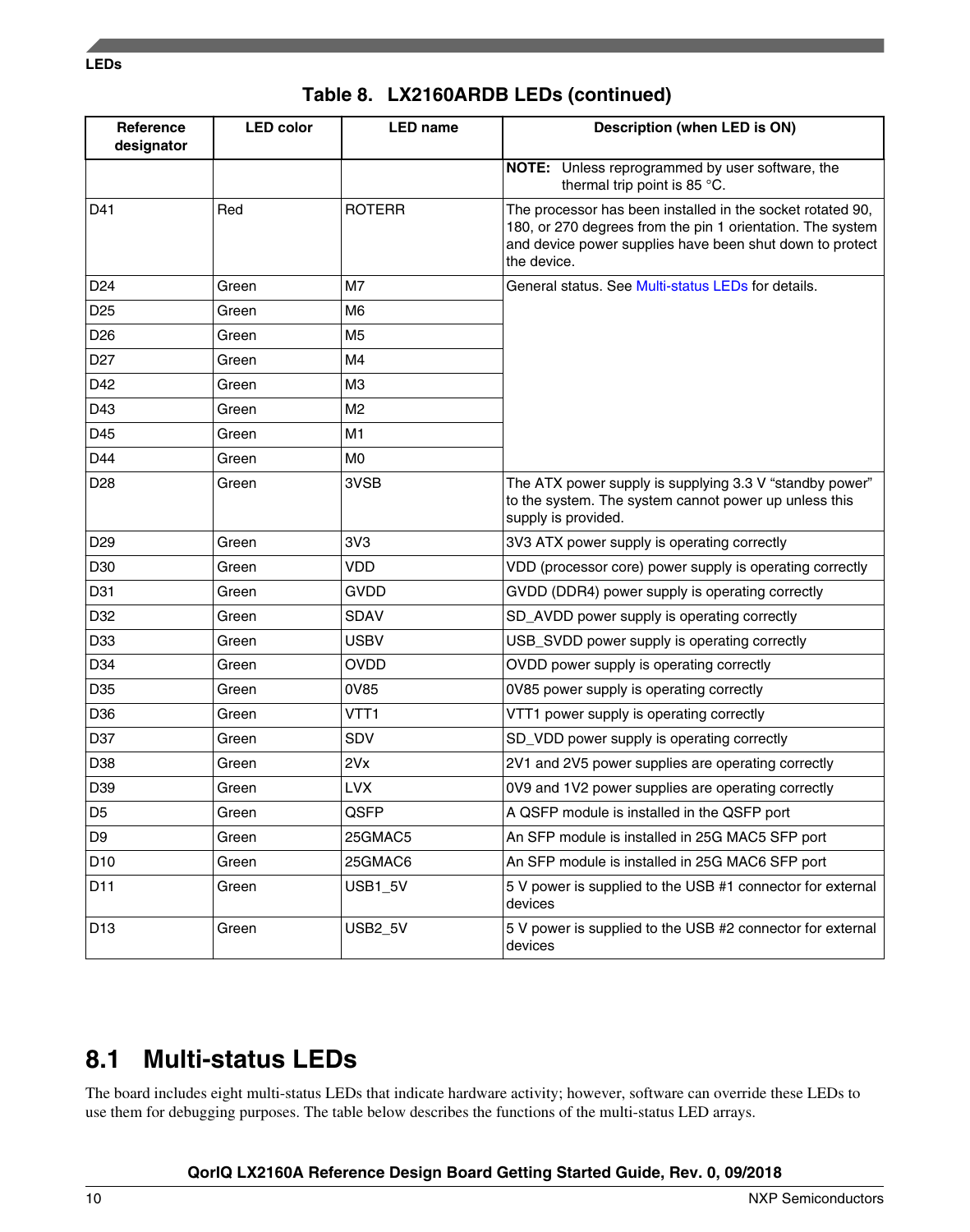|  |  | Table 8. LX2160ARDB LEDs (continued) |  |
|--|--|--------------------------------------|--|
|--|--|--------------------------------------|--|

| Reference<br>designator | <b>LED color</b> | <b>LED</b> name | Description (when LED is ON)                                                                                                                                                                        |
|-------------------------|------------------|-----------------|-----------------------------------------------------------------------------------------------------------------------------------------------------------------------------------------------------|
|                         |                  |                 | NOTE: Unless reprogrammed by user software, the<br>thermal trip point is 85 °C.                                                                                                                     |
| D41                     | Red              | <b>ROTERR</b>   | The processor has been installed in the socket rotated 90,<br>180, or 270 degrees from the pin 1 orientation. The system<br>and device power supplies have been shut down to protect<br>the device. |
| D <sub>24</sub>         | Green            | M7              | General status. See Multi-status LEDs for details.                                                                                                                                                  |
| D <sub>25</sub>         | Green            | M <sub>6</sub>  |                                                                                                                                                                                                     |
| D <sub>26</sub>         | Green            | M5              |                                                                                                                                                                                                     |
| D <sub>27</sub>         | Green            | M4              |                                                                                                                                                                                                     |
| D42                     | Green            | ΜЗ              |                                                                                                                                                                                                     |
| D43                     | Green            | M <sub>2</sub>  |                                                                                                                                                                                                     |
| D45                     | Green            | M <sub>1</sub>  |                                                                                                                                                                                                     |
| D44                     | Green            | МO              |                                                                                                                                                                                                     |
| D <sub>28</sub>         | Green            | 3VSB            | The ATX power supply is supplying 3.3 V "standby power"<br>to the system. The system cannot power up unless this<br>supply is provided.                                                             |
| D <sub>29</sub>         | Green            | 3V3             | 3V3 ATX power supply is operating correctly                                                                                                                                                         |
| D30                     | Green            | <b>VDD</b>      | VDD (processor core) power supply is operating correctly                                                                                                                                            |
| D31                     | Green            | <b>GVDD</b>     | GVDD (DDR4) power supply is operating correctly                                                                                                                                                     |
| D32                     | Green            | SDAV            | SD_AVDD power supply is operating correctly                                                                                                                                                         |
| D33                     | Green            | <b>USBV</b>     | USB_SVDD power supply is operating correctly                                                                                                                                                        |
| D34                     | Green            | <b>OVDD</b>     | OVDD power supply is operating correctly                                                                                                                                                            |
| D35                     | Green            | 0V85            | 0V85 power supply is operating correctly                                                                                                                                                            |
| D36                     | Green            | VTT1            | VTT1 power supply is operating correctly                                                                                                                                                            |
| D37                     | Green            | SDV             | SD_VDD power supply is operating correctly                                                                                                                                                          |
| D38                     | Green            | 2Vx             | 2V1 and 2V5 power supplies are operating correctly                                                                                                                                                  |
| D39                     | Green            | <b>LVX</b>      | 0V9 and 1V2 power supplies are operating correctly                                                                                                                                                  |
| D <sub>5</sub>          | Green            | QSFP            | A QSFP module is installed in the QSFP port                                                                                                                                                         |
| D <sub>9</sub>          | Green            | 25GMAC5         | An SFP module is installed in 25G MAC5 SFP port                                                                                                                                                     |
| D10                     | Green            | 25GMAC6         | An SFP module is installed in 25G MAC6 SFP port                                                                                                                                                     |
| D11                     | Green            | USB1_5V         | 5 V power is supplied to the USB #1 connector for external<br>devices                                                                                                                               |
| D <sub>13</sub>         | Green            | <b>USB2_5V</b>  | 5 V power is supplied to the USB #2 connector for external<br>devices                                                                                                                               |

## **8.1 Multi-status LEDs**

The board includes eight multi-status LEDs that indicate hardware activity; however, software can override these LEDs to use them for debugging purposes. The table below describes the functions of the multi-status LED arrays.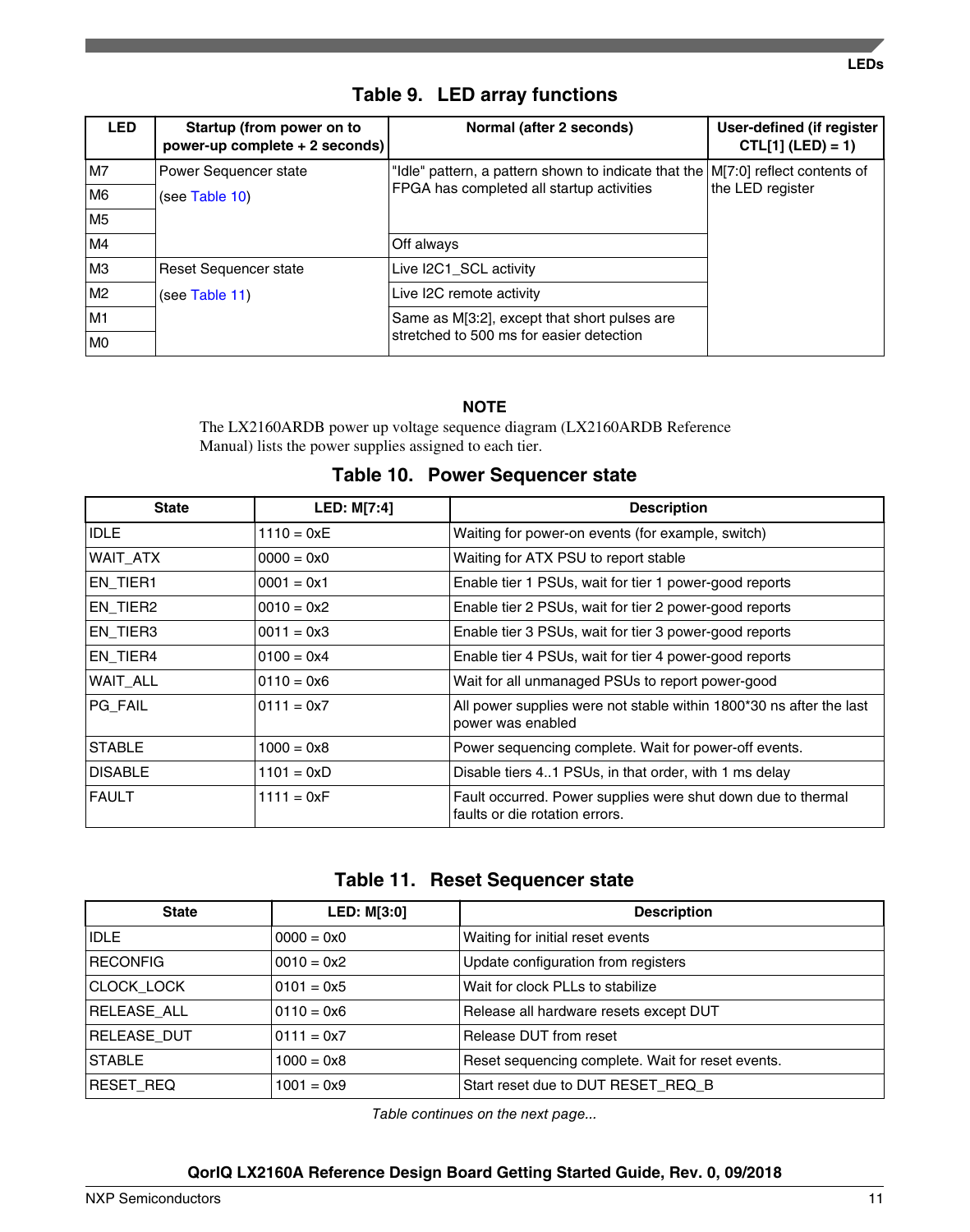| <b>LED</b>     | Startup (from power on to<br>power-up complete + 2 seconds) | Normal (after 2 seconds)                                                           | User-defined (if register<br>$CTL[1] (LED) = 1)$ |
|----------------|-------------------------------------------------------------|------------------------------------------------------------------------------------|--------------------------------------------------|
| M7             | Power Sequencer state                                       | "Idle" pattern, a pattern shown to indicate that the $ M 7:0 $ reflect contents of |                                                  |
| M6             | (see Table 10)                                              | FPGA has completed all startup activities                                          | the LED register                                 |
| M <sub>5</sub> |                                                             |                                                                                    |                                                  |
| M4             |                                                             | Off always                                                                         |                                                  |
| M3             | Reset Sequencer state                                       | Live I2C1_SCL activity                                                             |                                                  |
| M2             | (see Table 11)                                              | Live I2C remote activity                                                           |                                                  |
| M1             |                                                             | Same as M[3:2], except that short pulses are                                       |                                                  |
| MO             |                                                             | stretched to 500 ms for easier detection                                           |                                                  |

## **Table 9. LED array functions**

### **NOTE**

The LX2160ARDB power up voltage sequence diagram (LX2160ARDB Reference Manual) lists the power supplies assigned to each tier.

### **Table 10. Power Sequencer state**

| <b>State</b>   | <b>LED: M[7:4]</b> | <b>Description</b>                                                                             |
|----------------|--------------------|------------------------------------------------------------------------------------------------|
| <b>IDLE</b>    | $1110 = 0xE$       | Waiting for power-on events (for example, switch)                                              |
| WAIT ATX       | $0000 = 0x0$       | Waiting for ATX PSU to report stable                                                           |
| EN_TIER1       | $0001 = 0x1$       | Enable tier 1 PSUs, wait for tier 1 power-good reports                                         |
| EN_TIER2       | $0010 = 0x2$       | Enable tier 2 PSUs, wait for tier 2 power-good reports                                         |
| EN_TIER3       | $0011 = 0x3$       | Enable tier 3 PSUs, wait for tier 3 power-good reports                                         |
| EN_TIER4       | $0100 = 0x4$       | Enable tier 4 PSUs, wait for tier 4 power-good reports                                         |
| WAIT ALL       | $0110 = 0x6$       | Wait for all unmanaged PSUs to report power-good                                               |
| PG_FAIL        | $0111 = 0x7$       | All power supplies were not stable within 1800*30 ns after the last<br>power was enabled       |
| <b>STABLE</b>  | $1000 = 0x8$       | Power sequencing complete. Wait for power-off events.                                          |
| <b>DISABLE</b> | $1101 = 0xD$       | Disable tiers 41 PSUs, in that order, with 1 ms delay                                          |
| <b>FAULT</b>   | $1111 = 0xF$       | Fault occurred. Power supplies were shut down due to thermal<br>faults or die rotation errors. |

| Table 11. Reset Sequencer state |  |  |  |  |
|---------------------------------|--|--|--|--|
|---------------------------------|--|--|--|--|

| <b>State</b>    | <b>LED: M[3:0]</b> | <b>Description</b>                                |
|-----------------|--------------------|---------------------------------------------------|
| <b>IDLE</b>     | $0000 = 0x0$       | Waiting for initial reset events                  |
| <b>RECONFIG</b> | $0010 = 0x2$       | Update configuration from registers               |
| CLOCK_LOCK      | $0101 = 0x5$       | Wait for clock PLLs to stabilize                  |
| RELEASE_ALL     | $0110 = 0x6$       | Release all hardware resets except DUT            |
| RELEASE_DUT     | $0111 = 0x7$       | Release DUT from reset                            |
| <b>STABLE</b>   | $1000 = 0x8$       | Reset sequencing complete. Wait for reset events. |
| RESET_REQ       | $1001 = 0x9$       | Start reset due to DUT RESET REQ B                |

*Table continues on the next page...*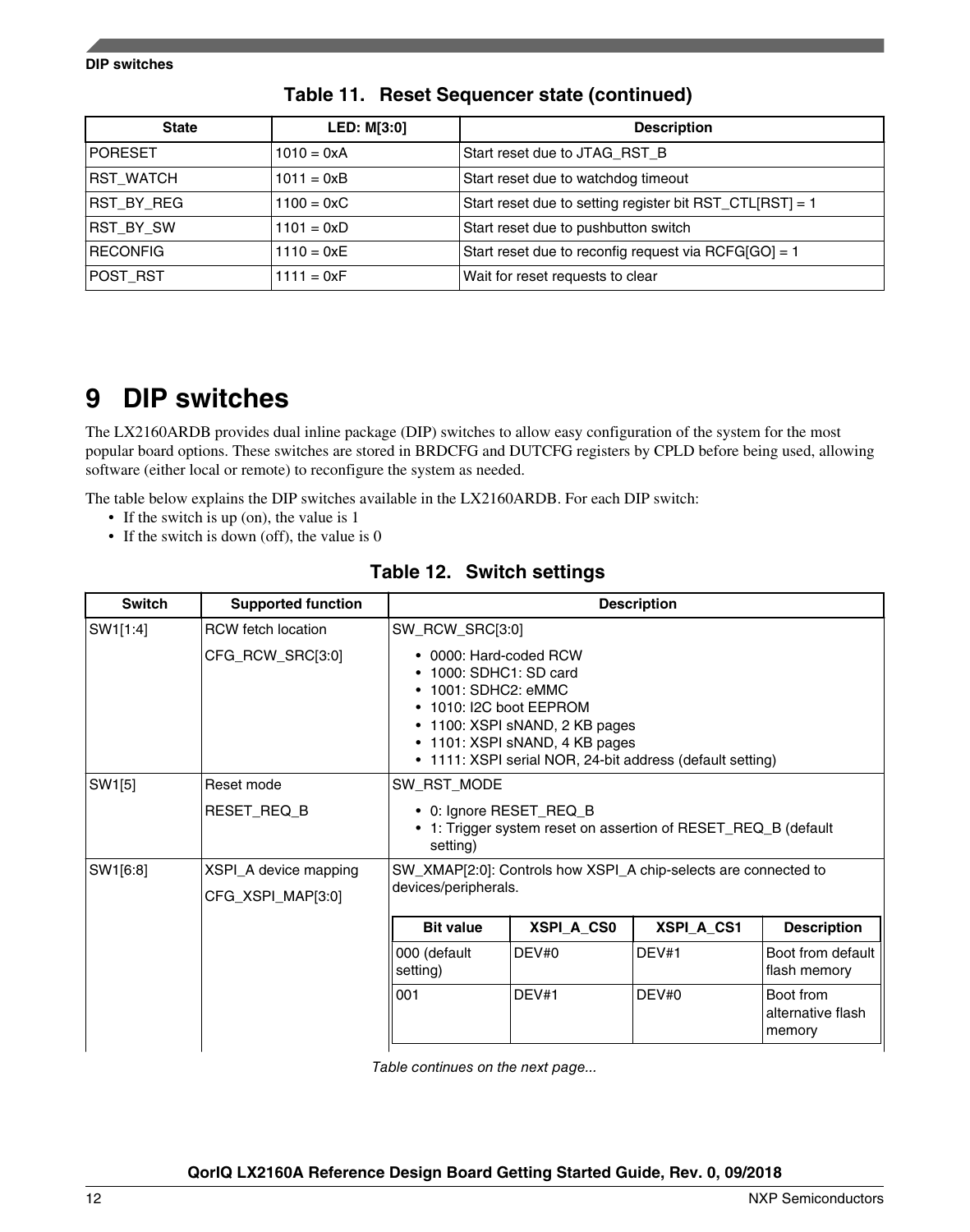| <b>State</b>     | <b>LED: M[3:0]</b>  | <b>Description</b>                                       |
|------------------|---------------------|----------------------------------------------------------|
| <b>PORESET</b>   | $1010 = 0xA$        | Start reset due to JTAG RST B                            |
| <b>RST_WATCH</b> | $1011 = 0xB$        | Start reset due to watchdog timeout                      |
| RST_BY_REG       | $1100 = 0 \times C$ | Start reset due to setting register bit RST_CTL[RST] = 1 |
| RST_BY_SW        | $1101 = 0xD$        | Start reset due to pushbutton switch                     |
| <b>RECONFIG</b>  | $1110 = 0xE$        | Start reset due to reconfig request via RCFG[GO] = 1     |
| POST_RST         | $1111 = 0xF$        | Wait for reset requests to clear                         |

**Table 11. Reset Sequencer state (continued)**

## **9 DIP switches**

The LX2160ARDB provides dual inline package (DIP) switches to allow easy configuration of the system for the most popular board options. These switches are stored in BRDCFG and DUTCFG registers by CPLD before being used, allowing software (either local or remote) to reconfigure the system as needed.

The table below explains the DIP switches available in the LX2160ARDB. For each DIP switch:

- If the switch is up (on), the value is 1
- If the switch is down (off), the value is 0

| <b>Switch</b> | <b>Supported function</b>                  |                                                                                                                                                                                                                                                             | <b>Description</b> |                                                                |                                          |
|---------------|--------------------------------------------|-------------------------------------------------------------------------------------------------------------------------------------------------------------------------------------------------------------------------------------------------------------|--------------------|----------------------------------------------------------------|------------------------------------------|
| SW1[1:4]      | <b>RCW</b> fetch location                  |                                                                                                                                                                                                                                                             | SW_RCW_SRC[3:0]    |                                                                |                                          |
|               | CFG_RCW_SRC[3:0]                           | • 0000: Hard-coded RCW<br>• 1000: SDHC1: SD card<br>$\bullet$ 1001: SDHC2: eMMC<br>$\bullet$ 1010: I2C boot EEPROM<br>$\bullet$ 1100: XSPI sNAND, 2 KB pages<br>• 1101: XSPI sNAND, 4 KB pages<br>• 1111: XSPI serial NOR, 24-bit address (default setting) |                    |                                                                |                                          |
| SW1[5]        | Reset mode                                 | SW RST MODE                                                                                                                                                                                                                                                 |                    |                                                                |                                          |
|               | RESET_REQ_B                                | • 0: Ignore RESET_REQ_B<br>setting)                                                                                                                                                                                                                         |                    | • 1: Trigger system reset on assertion of RESET_REQ_B (default |                                          |
| SW1[6:8]      | XSPI_A device mapping<br>CFG_XSPI_MAP[3:0] | SW XMAP[2:0]: Controls how XSPI A chip-selects are connected to<br>devices/peripherals.                                                                                                                                                                     |                    |                                                                |                                          |
|               |                                            | <b>Bit value</b>                                                                                                                                                                                                                                            | XSPI_A_CS0         | <b>XSPI A CS1</b>                                              | <b>Description</b>                       |
|               |                                            | 000 (default<br>setting)                                                                                                                                                                                                                                    | DEV#0              | DEV#1                                                          | Boot from default<br>flash memory        |
|               |                                            | 001                                                                                                                                                                                                                                                         | DEV#1              | DEV#0                                                          | Boot from<br>alternative flash<br>memory |

**Table 12. Switch settings**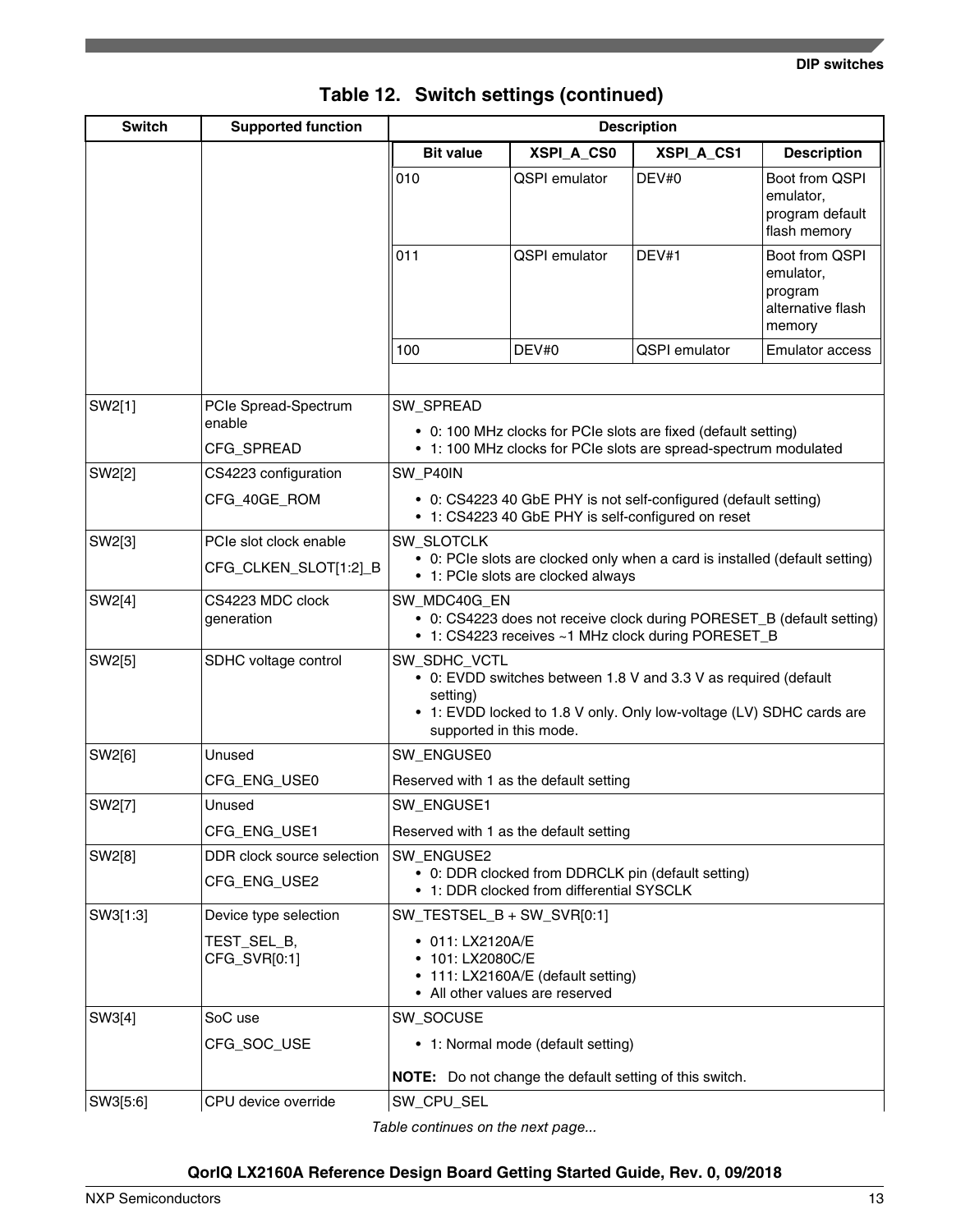| <b>Switch</b> | <b>Supported function</b>      | <b>Description</b>                                                                                                                                                                             |                                        |                                                                  |                                                                       |
|---------------|--------------------------------|------------------------------------------------------------------------------------------------------------------------------------------------------------------------------------------------|----------------------------------------|------------------------------------------------------------------|-----------------------------------------------------------------------|
|               |                                | <b>Bit value</b>                                                                                                                                                                               | XSPI_A_CS0                             | XSPI_A_CS1                                                       | <b>Description</b>                                                    |
|               |                                | 010                                                                                                                                                                                            | <b>QSPI</b> emulator                   | DEV#0                                                            | Boot from QSPI<br>emulator,<br>program default<br>flash memory        |
|               |                                | 011                                                                                                                                                                                            | <b>QSPI</b> emulator                   | DEV#1                                                            | Boot from QSPI<br>emulator,<br>program<br>alternative flash<br>memory |
|               |                                | 100                                                                                                                                                                                            | DEV#0                                  | <b>QSPI</b> emulator                                             | <b>Emulator access</b>                                                |
| SW2[1]        | PCIe Spread-Spectrum<br>enable | SW_SPREAD                                                                                                                                                                                      |                                        | • 0: 100 MHz clocks for PCIe slots are fixed (default setting)   |                                                                       |
|               | CFG_SPREAD                     |                                                                                                                                                                                                |                                        | • 1: 100 MHz clocks for PCIe slots are spread-spectrum modulated |                                                                       |
| SW2[2]        | CS4223 configuration           | SW_P40IN                                                                                                                                                                                       |                                        |                                                                  |                                                                       |
|               | CFG_40GE_ROM                   | • 0: CS4223 40 GbE PHY is not self-configured (default setting)<br>• 1: CS4223 40 GbE PHY is self-configured on reset                                                                          |                                        |                                                                  |                                                                       |
| SW2[3]        | PCIe slot clock enable         | <b>SW_SLOTCLK</b>                                                                                                                                                                              |                                        |                                                                  |                                                                       |
|               | CFG_CLKEN_SLOT[1:2]_B          | • 0: PCIe slots are clocked only when a card is installed (default setting)<br>• 1: PCIe slots are clocked always                                                                              |                                        |                                                                  |                                                                       |
| SW2[4]        | CS4223 MDC clock<br>generation | SW MDC40G EN<br>• 0: CS4223 does not receive clock during PORESET_B (default setting)<br>• 1: CS4223 receives ~1 MHz clock during PORESET_B                                                    |                                        |                                                                  |                                                                       |
| SW2[5]        | SDHC voltage control           | SW_SDHC_VCTL<br>• 0: EVDD switches between 1.8 V and 3.3 V as required (default<br>setting)<br>• 1: EVDD locked to 1.8 V only. Only low-voltage (LV) SDHC cards are<br>supported in this mode. |                                        |                                                                  |                                                                       |
| SW2[6]        | Unused                         | SW_ENGUSE0                                                                                                                                                                                     |                                        |                                                                  |                                                                       |
|               | CFG_ENG_USE0                   | Reserved with 1 as the default setting                                                                                                                                                         |                                        |                                                                  |                                                                       |
| SW2[7]        | Unused                         | SW_ENGUSE1                                                                                                                                                                                     |                                        |                                                                  |                                                                       |
|               | CFG_ENG_USE1                   |                                                                                                                                                                                                | Reserved with 1 as the default setting |                                                                  |                                                                       |
| SW2[8]        | DDR clock source selection     | <b>SW ENGUSE2</b>                                                                                                                                                                              |                                        |                                                                  |                                                                       |
|               | CFG_ENG_USE2                   | • 0: DDR clocked from DDRCLK pin (default setting)<br>• 1: DDR clocked from differential SYSCLK                                                                                                |                                        |                                                                  |                                                                       |
| SW3[1:3]      | Device type selection          | $SW_TESTSEL_B + SW_SVR[0:1]$                                                                                                                                                                   |                                        |                                                                  |                                                                       |
|               | TEST_SEL_B,<br>CFG_SVR[0:1]    | • 011: LX2120A/E<br>• 101: LX2080C/E<br>• 111: LX2160A/E (default setting)<br>• All other values are reserved                                                                                  |                                        |                                                                  |                                                                       |
| SW3[4]        | SoC use                        | SW_SOCUSE                                                                                                                                                                                      |                                        |                                                                  |                                                                       |
|               | CFG_SOC_USE                    | • 1: Normal mode (default setting)                                                                                                                                                             |                                        |                                                                  |                                                                       |
|               |                                | <b>NOTE:</b> Do not change the default setting of this switch.                                                                                                                                 |                                        |                                                                  |                                                                       |
| SW3[5:6]      | CPU device override            | SW_CPU_SEL                                                                                                                                                                                     |                                        |                                                                  |                                                                       |

## **Table 12. Switch settings (continued)**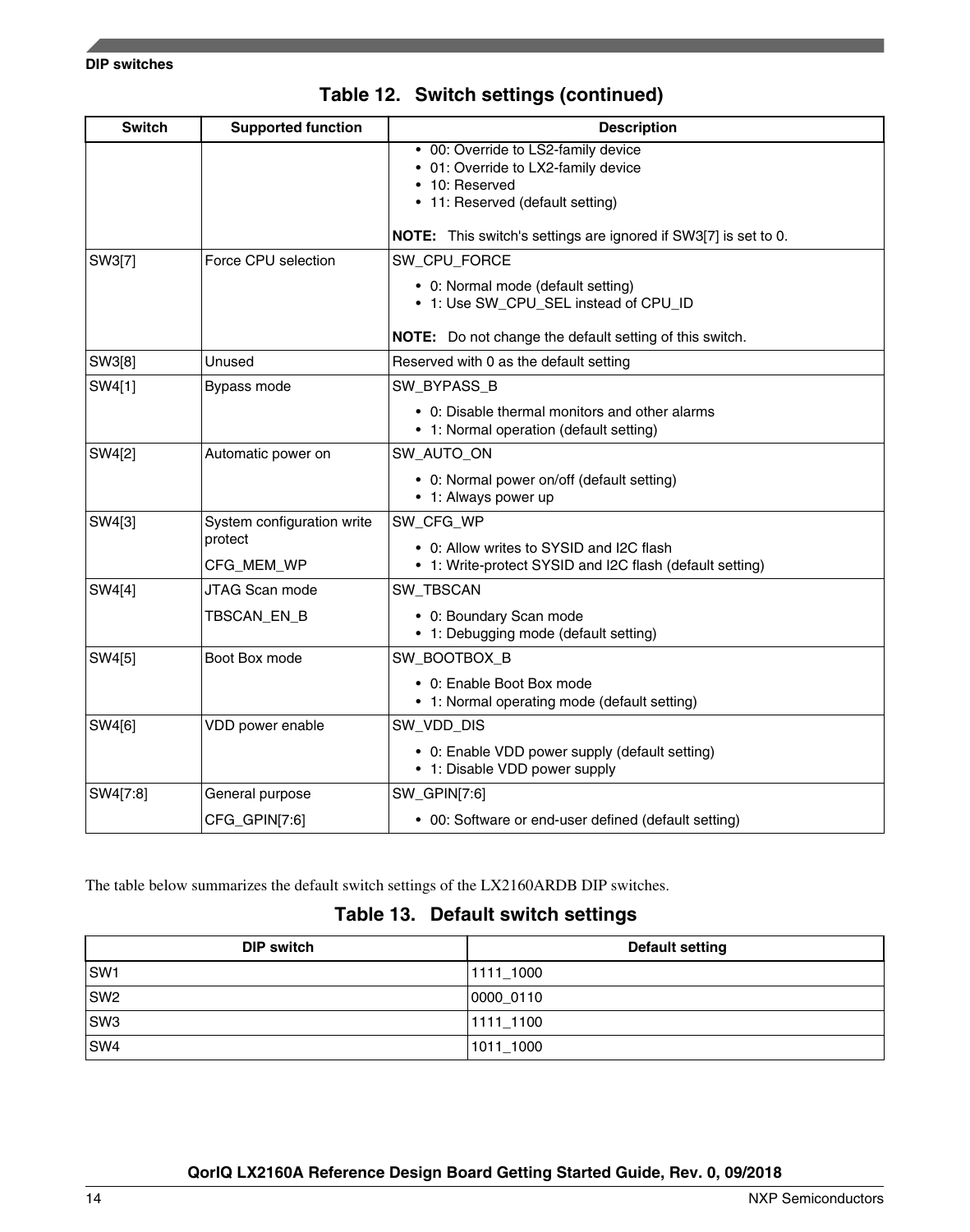<span id="page-13-0"></span>

| <b>Switch</b> | <b>Supported function</b>                           | <b>Description</b>                                                                                                                                                                                  |
|---------------|-----------------------------------------------------|-----------------------------------------------------------------------------------------------------------------------------------------------------------------------------------------------------|
|               |                                                     | • 00: Override to LS2-family device<br>• 01: Override to LX2-family device<br>• 10: Reserved<br>• 11: Reserved (default setting)<br>NOTE: This switch's settings are ignored if SW3[7] is set to 0. |
| SW3[7]        | Force CPU selection                                 | SW_CPU_FORCE<br>• 0: Normal mode (default setting)<br>• 1: Use SW_CPU_SEL instead of CPU_ID<br><b>NOTE:</b> Do not change the default setting of this switch.                                       |
| SW3[8]        | Unused                                              | Reserved with 0 as the default setting                                                                                                                                                              |
| SW4[1]        | Bypass mode                                         | SW_BYPASS_B<br>• 0: Disable thermal monitors and other alarms<br>• 1: Normal operation (default setting)                                                                                            |
| SW4[2]        | Automatic power on                                  | SW_AUTO_ON<br>• 0: Normal power on/off (default setting)<br>• 1: Always power up                                                                                                                    |
| SW4[3]        | System configuration write<br>protect<br>CFG MEM WP | SW_CFG_WP<br>• 0: Allow writes to SYSID and I2C flash<br>• 1: Write-protect SYSID and I2C flash (default setting)                                                                                   |
| SW4[4]        | JTAG Scan mode<br>TBSCAN_EN_B                       | SW_TBSCAN<br>• 0: Boundary Scan mode<br>• 1: Debugging mode (default setting)                                                                                                                       |
| SW4[5]        | Boot Box mode                                       | SW_BOOTBOX_B<br>• 0: Enable Boot Box mode<br>• 1: Normal operating mode (default setting)                                                                                                           |
| SW4[6]        | VDD power enable                                    | SW VDD DIS<br>• 0: Enable VDD power supply (default setting)<br>• 1: Disable VDD power supply                                                                                                       |
| SW4[7:8]      | General purpose                                     | SW_GPIN[7:6]                                                                                                                                                                                        |
|               | CFG_GPIN[7:6]                                       | • 00: Software or end-user defined (default setting)                                                                                                                                                |

## **Table 12. Switch settings (continued)**

The table below summarizes the default switch settings of the LX2160ARDB DIP switches.

### **Table 13. Default switch settings**

| <b>DIP switch</b> | <b>Default setting</b> |
|-------------------|------------------------|
| SW1               | 1111 1000              |
| SW <sub>2</sub>   | 0000 0110              |
| SW3               | 1111 1100              |
| SW4               | 1011 1000              |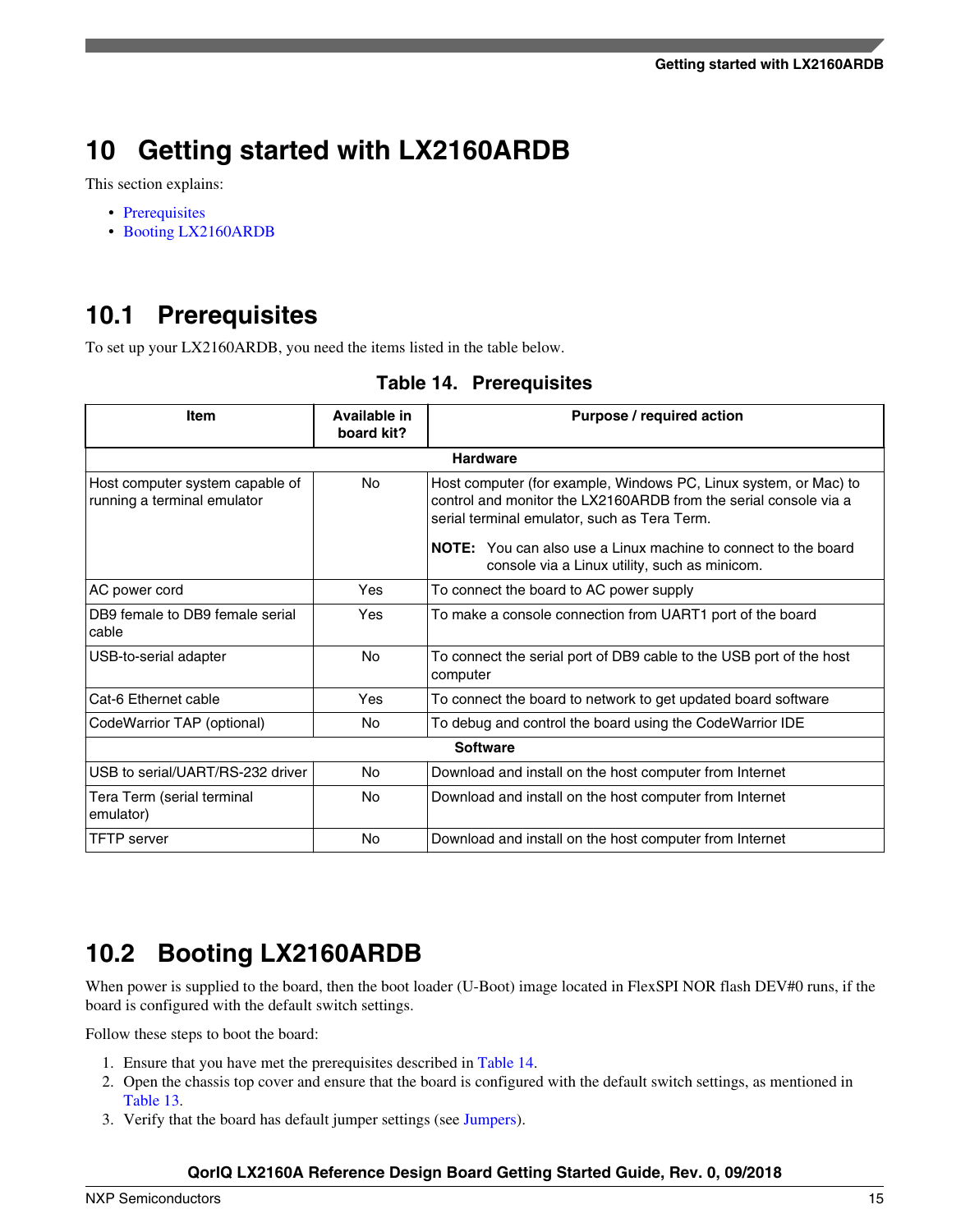<span id="page-14-0"></span>This section explains:

- Prerequisites
- Booting LX2160ARDB

## **10.1 Prerequisites**

To set up your LX2160ARDB, you need the items listed in the table below.

| <b>Item</b>                                                    | Available in<br>board kit? | Purpose / required action                                                                                                                                                                                                                                                                                      |  |  |  |
|----------------------------------------------------------------|----------------------------|----------------------------------------------------------------------------------------------------------------------------------------------------------------------------------------------------------------------------------------------------------------------------------------------------------------|--|--|--|
|                                                                | <b>Hardware</b>            |                                                                                                                                                                                                                                                                                                                |  |  |  |
| Host computer system capable of<br>running a terminal emulator | <b>No</b>                  | Host computer (for example, Windows PC, Linux system, or Mac) to<br>control and monitor the LX2160ARDB from the serial console via a<br>serial terminal emulator, such as Tera Term.<br><b>NOTE:</b> You can also use a Linux machine to connect to the board<br>console via a Linux utility, such as minicom. |  |  |  |
| AC power cord                                                  | Yes                        | To connect the board to AC power supply                                                                                                                                                                                                                                                                        |  |  |  |
| DB9 female to DB9 female serial<br>cable                       | Yes                        | To make a console connection from UART1 port of the board                                                                                                                                                                                                                                                      |  |  |  |
| USB-to-serial adapter                                          | <b>No</b>                  | To connect the serial port of DB9 cable to the USB port of the host<br>computer                                                                                                                                                                                                                                |  |  |  |
| Cat-6 Ethernet cable                                           | Yes                        | To connect the board to network to get updated board software                                                                                                                                                                                                                                                  |  |  |  |
| CodeWarrior TAP (optional)                                     | <b>No</b>                  | To debug and control the board using the CodeWarrior IDE                                                                                                                                                                                                                                                       |  |  |  |
|                                                                |                            | <b>Software</b>                                                                                                                                                                                                                                                                                                |  |  |  |
| USB to serial/UART/RS-232 driver                               | No                         | Download and install on the host computer from Internet                                                                                                                                                                                                                                                        |  |  |  |
| Tera Term (serial terminal<br>emulator)                        | <b>No</b>                  | Download and install on the host computer from Internet                                                                                                                                                                                                                                                        |  |  |  |
| <b>TFTP</b> server                                             | No                         | Download and install on the host computer from Internet                                                                                                                                                                                                                                                        |  |  |  |

## **10.2 Booting LX2160ARDB**

When power is supplied to the board, then the boot loader (U-Boot) image located in FlexSPI NOR flash DEV#0 runs, if the board is configured with the default switch settings.

Follow these steps to boot the board:

- 1. Ensure that you have met the prerequisites described in Table 14.
- 2. Open the chassis top cover and ensure that the board is configured with the default switch settings, as mentioned in [Table 13](#page-13-0).
- 3. Verify that the board has default jumper settings (see [Jumpers](#page-7-0)).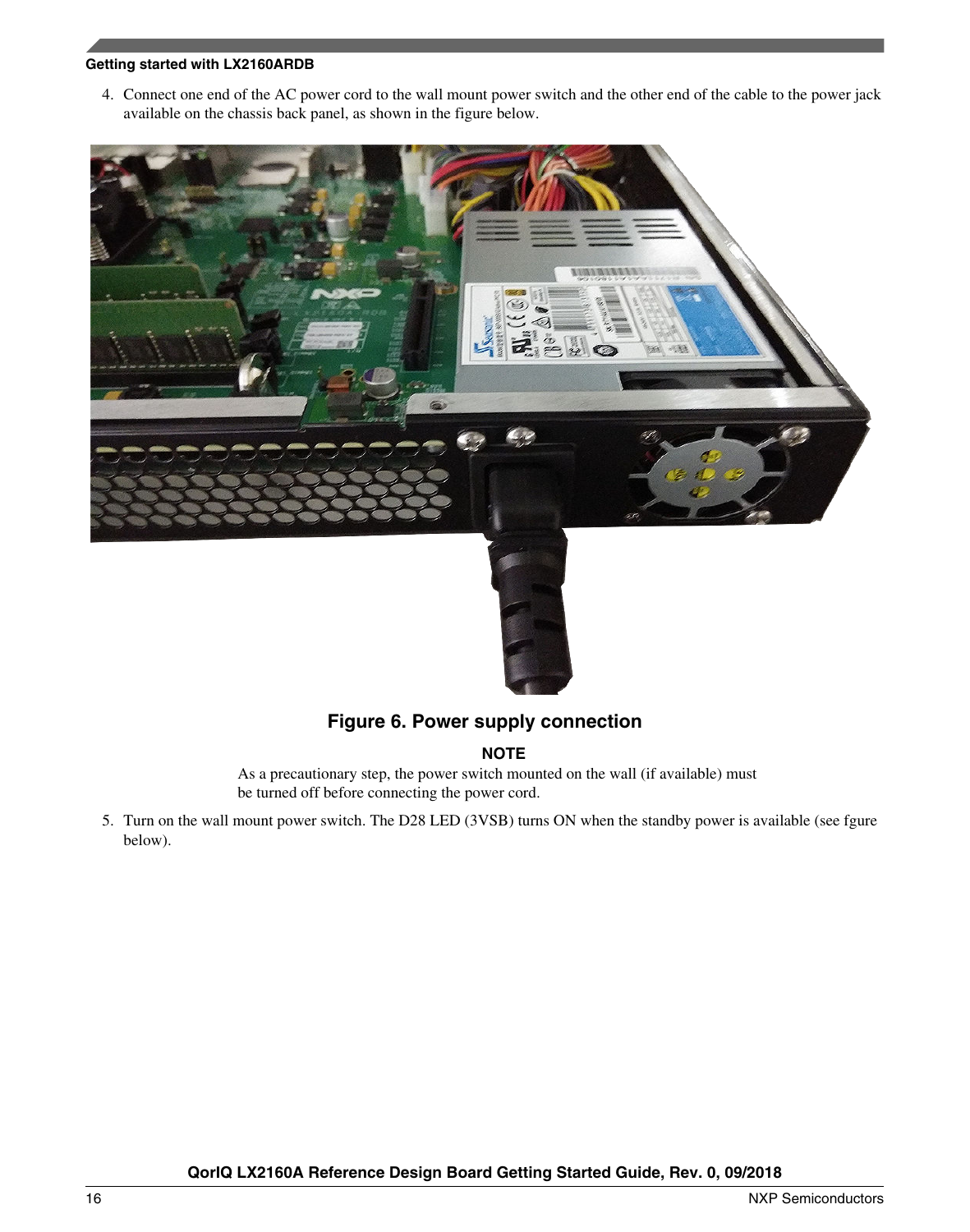4. Connect one end of the AC power cord to the wall mount power switch and the other end of the cable to the power jack available on the chassis back panel, as shown in the figure below.





## **Figure 6. Power supply connection**

### **NOTE**

As a precautionary step, the power switch mounted on the wall (if available) must be turned off before connecting the power cord.

5. Turn on the wall mount power switch. The D28 LED (3VSB) turns ON when the standby power is available (see fgure below).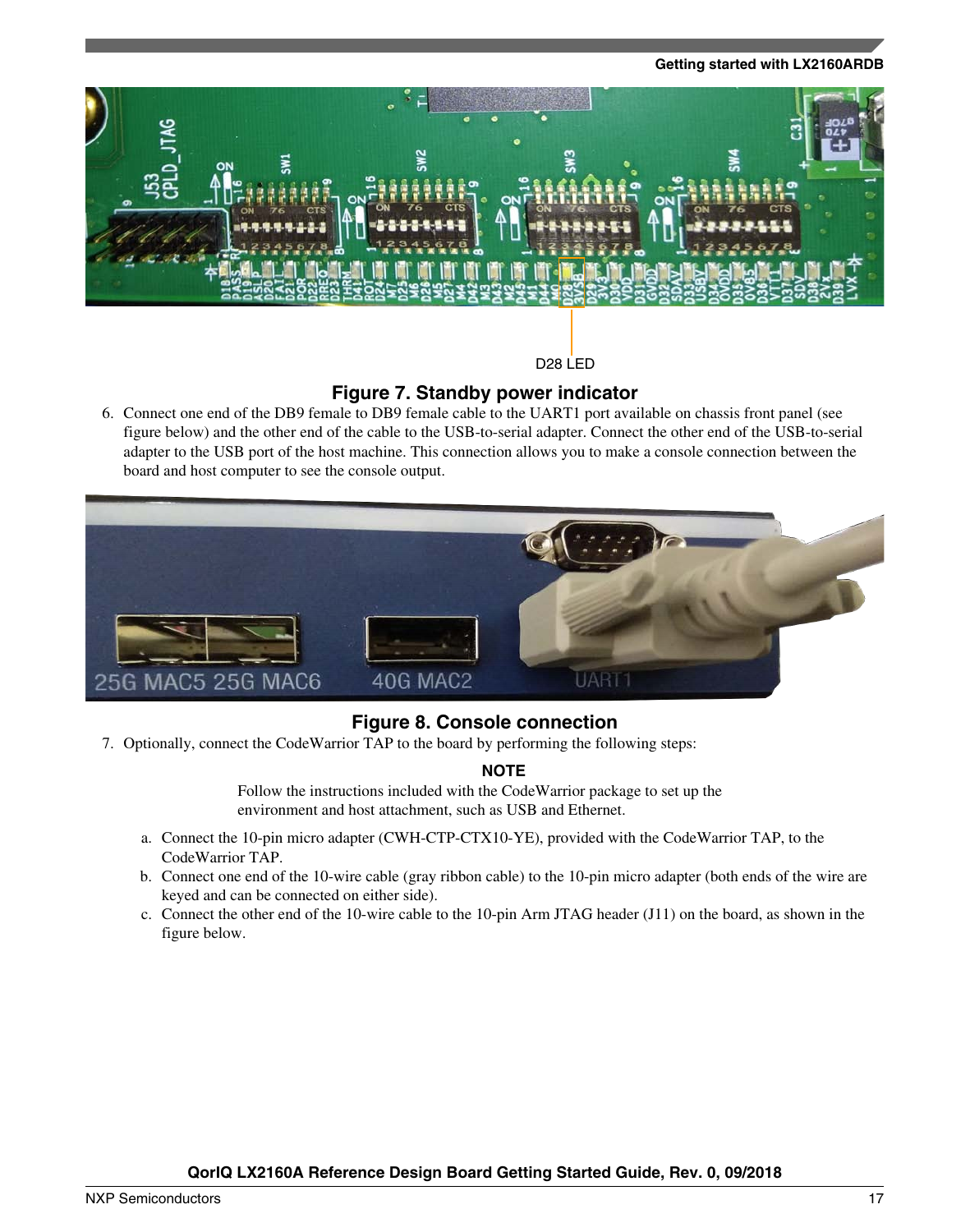

D28 LED

### **Figure 7. Standby power indicator**

6. Connect one end of the DB9 female to DB9 female cable to the UART1 port available on chassis front panel (see figure below) and the other end of the cable to the USB-to-serial adapter. Connect the other end of the USB-to-serial adapter to the USB port of the host machine. This connection allows you to make a console connection between the board and host computer to see the console output.



### **Figure 8. Console connection**

7. Optionally, connect the CodeWarrior TAP to the board by performing the following steps:

### **NOTE**

Follow the instructions included with the CodeWarrior package to set up the environment and host attachment, such as USB and Ethernet.

- a. Connect the 10-pin micro adapter (CWH-CTP-CTX10-YE), provided with the CodeWarrior TAP, to the CodeWarrior TAP.
- b. Connect one end of the 10-wire cable (gray ribbon cable) to the 10-pin micro adapter (both ends of the wire are keyed and can be connected on either side).
- c. Connect the other end of the 10-wire cable to the 10-pin Arm JTAG header (J11) on the board, as shown in the figure below.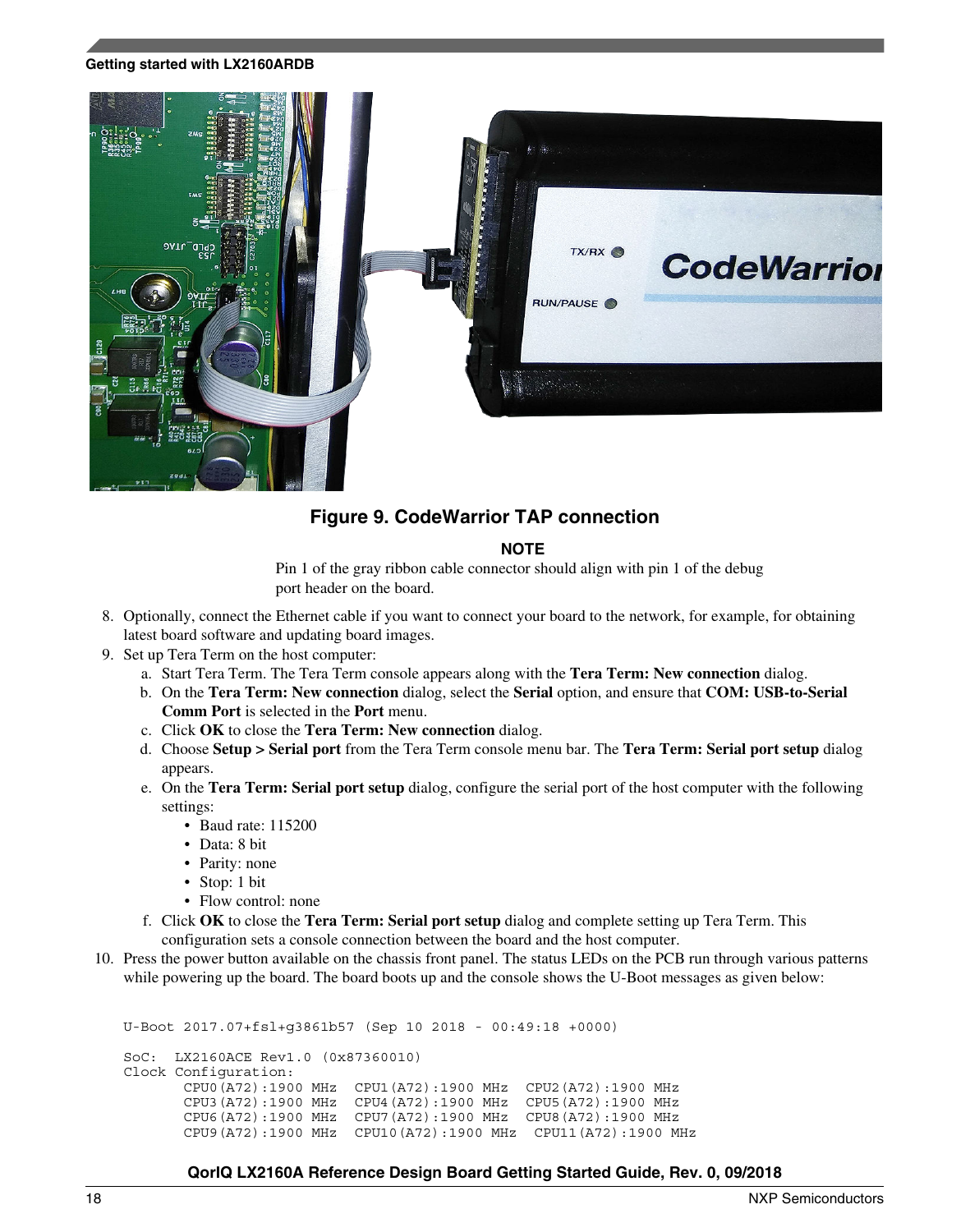

### **Figure 9. CodeWarrior TAP connection**

#### **NOTE**

Pin 1 of the gray ribbon cable connector should align with pin 1 of the debug port header on the board.

- 8. Optionally, connect the Ethernet cable if you want to connect your board to the network, for example, for obtaining latest board software and updating board images.
- 9. Set up Tera Term on the host computer:
	- a. Start Tera Term. The Tera Term console appears along with the **Tera Term: New connection** dialog.
	- b. On the **Tera Term: New connection** dialog, select the **Serial** option, and ensure that **COM: USB-to-Serial Comm Port** is selected in the **Port** menu.
	- c. Click **OK** to close the **Tera Term: New connection** dialog.
	- d. Choose **Setup > Serial port** from the Tera Term console menu bar. The **Tera Term: Serial port setup** dialog appears.
	- e. On the **Tera Term: Serial port setup** dialog, configure the serial port of the host computer with the following settings:
		- Baud rate: 115200
		- Data: 8 bit
		- Parity: none
		- Stop: 1 bit
		- Flow control: none
	- f. Click **OK** to close the **Tera Term: Serial port setup** dialog and complete setting up Tera Term. This configuration sets a console connection between the board and the host computer.
- 10. Press the power button available on the chassis front panel. The status LEDs on the PCB run through various patterns while powering up the board. The board boots up and the console shows the U-Boot messages as given below:

```
U-Boot 2017.07+fsl+g3861b57 (Sep 10 2018 - 00:49:18 +0000)
SoC: LX2160ACE Rev1.0 (0x87360010)
Clock Configuration:
        CPU0(A72):1900 MHz CPU1(A72):1900 MHz CPU2(A72):1900 MHz
        CPU3(A72):1900 MHz CPU4(A72):1900 MHz CPU5(A72):1900 MHz
        CPU6(A72):1900 MHz CPU7(A72):1900 MHz CPU8(A72):1900 MHz
        CPU9(A72):1900 MHz CPU10(A72):1900 MHz CPU11(A72):1900 MHz
```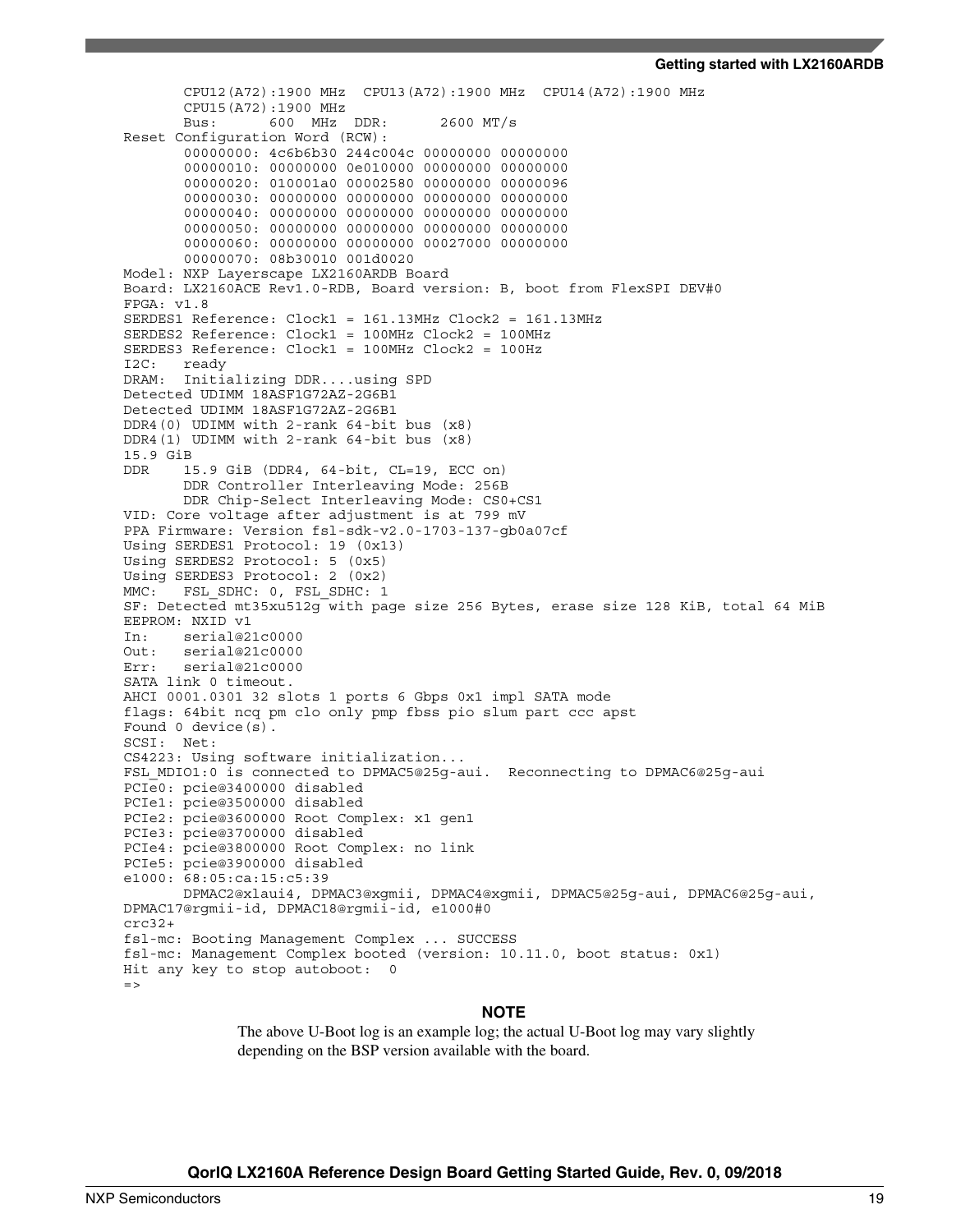```
 CPU12(A72):1900 MHz CPU13(A72):1900 MHz CPU14(A72):1900 MHz
        CPU15(A72):1900 MHz
        Bus: 600 MHz DDR: 2600 MT/s
Reset Configuration Word (RCW):
        00000000: 4c6b6b30 244c004c 00000000 00000000
        00000010: 00000000 0e010000 00000000 00000000
        00000020: 010001a0 00002580 00000000 00000096
        00000030: 00000000 00000000 00000000 00000000
        00000040: 00000000 00000000 00000000 00000000
        00000050: 00000000 00000000 00000000 00000000
        00000060: 00000000 00000000 00027000 00000000
        00000070: 08b30010 001d0020
Model: NXP Layerscape LX2160ARDB Board
Board: LX2160ACE Rev1.0-RDB, Board version: B, boot from FlexSPI DEV#0
FPGA: v1.8
SERDES1 Reference: Clock1 = 161.13MHz Clock2 = 161.13MHz
SERDES2 Reference: Clock1 = 100MHz Clock2 = 100MHz
SERDES3 Reference: Clock1 = 100MHz Clock2 = 100Hz
I2C: ready
DRAM: Initializing DDR....using SPD
Detected UDIMM 18ASF1G72AZ-2G6B1
Detected UDIMM 18ASF1G72AZ-2G6B1
DDR4(0) UDIMM with 2-rank 64-bit bus (x8)
DDR4(1) UDIMM with 2-rank 64-bit bus (x8)
15.9 GiB
DDR 15.9 GiB (DDR4, 64-bit, CL=19, ECC on)
        DDR Controller Interleaving Mode: 256B
        DDR Chip-Select Interleaving Mode: CS0+CS1
VID: Core voltage after adjustment is at 799 mV
PPA Firmware: Version fsl-sdk-v2.0-1703-137-gb0a07cf
Using SERDES1 Protocol: 19 (0x13)
Using SERDES2 Protocol: 5 (0x5)
Using SERDES3 Protocol: 2 (0x2)
MMC: FSL SDHC: 0, FSL SDHC: 1
SF: Detected mt35xu512g with page size 256 Bytes, erase size 128 KiB, total 64 MiB
EEPROM: NXID v1
In: serial@21c0000
Out: serial@21c0000<br>Err: serial@21c0000
     serial@21c0000
SATA link 0 timeout.
AHCI 0001.0301 32 slots 1 ports 6 Gbps 0x1 impl SATA mode
flags: 64bit ncq pm clo only pmp fbss pio slum part ccc apst
Found 0 device(s).
SCSI: Net:
CS4223: Using software initialization...
FSL MDIO1:0 is connected to DPMAC5@25q-aui. Reconnecting to DPMAC6@25q-aui
PCIe0: pcie@3400000 disabled
PCIe1: pcie@3500000 disabled
PCIe2: pcie@3600000 Root Complex: x1 gen1
PCIe3: pcie@3700000 disabled
PCIe4: pcie@3800000 Root Complex: no link
PCIe5: pcie@3900000 disabled
e1000: 68:05:ca:15:c5:39
        DPMAC2@xlaui4, DPMAC3@xgmii, DPMAC4@xgmii, DPMAC5@25g-aui, DPMAC6@25g-aui, 
DPMAC17@rgmii-id, DPMAC18@rgmii-id, e1000#0
crc32+
fsl-mc: Booting Management Complex ... SUCCESS
fsl-mc: Management Complex booted (version: 10.11.0, boot status: 0x1)
Hit any key to stop autoboot: 0
=
```
#### **NOTE**

The above U-Boot log is an example log; the actual U-Boot log may vary slightly depending on the BSP version available with the board.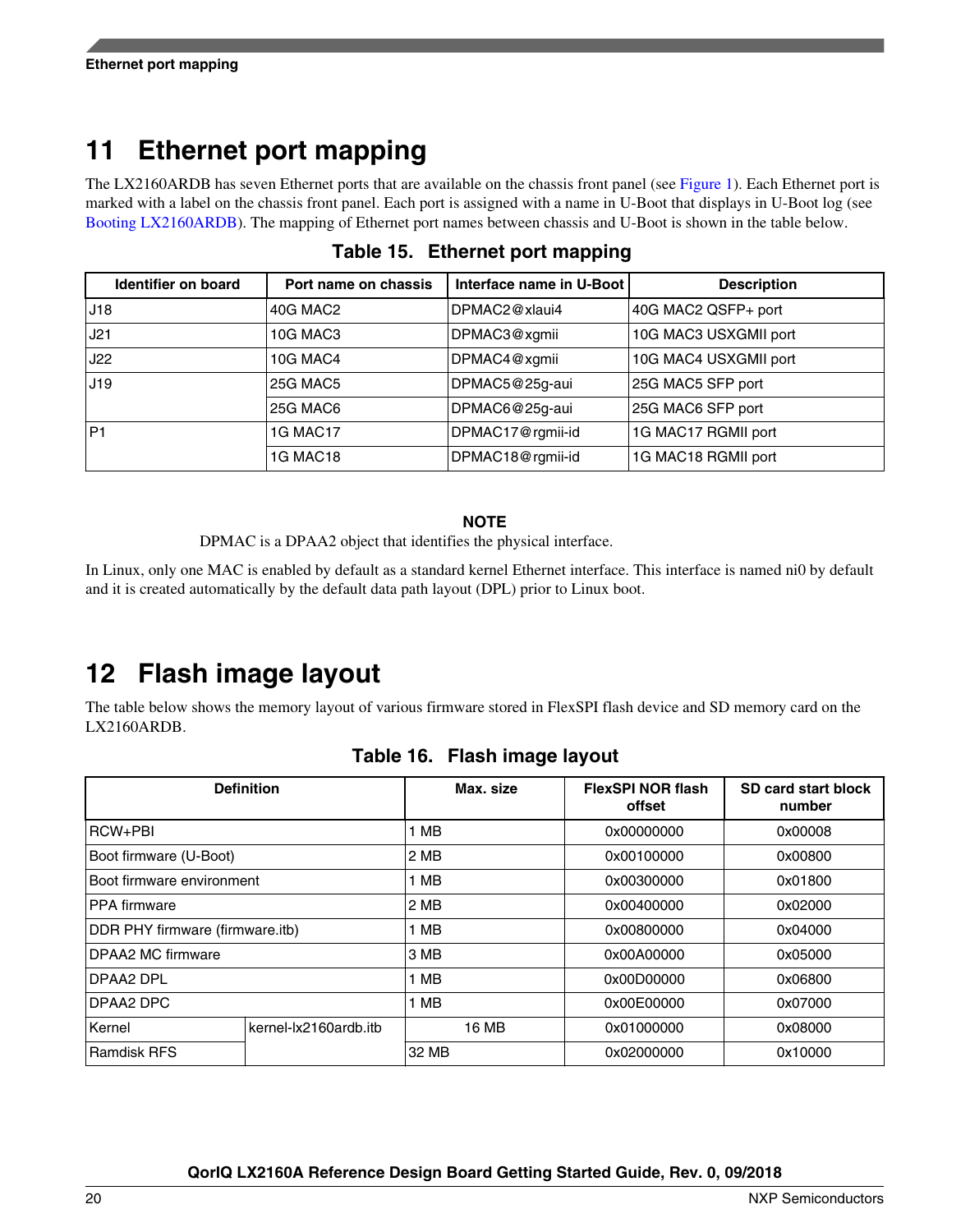# <span id="page-19-0"></span>**11 Ethernet port mapping**

The LX2160ARDB has seven Ethernet ports that are available on the chassis front panel (see [Figure 1\)](#page-2-0). Each Ethernet port is marked with a label on the chassis front panel. Each port is assigned with a name in U-Boot that displays in U-Boot log (see [Booting LX2160ARDB\)](#page-14-0). The mapping of Ethernet port names between chassis and U-Boot is shown in the table below.

| Identifier on board | Port name on chassis | Interface name in U-Boot | <b>Description</b>    |
|---------------------|----------------------|--------------------------|-----------------------|
| J18                 | 40G MAC2             | DPMAC2@xlaui4            | 40G MAC2 QSFP+ port   |
| J21                 | 10G MAC3             | DPMAC3@xgmii             | 10G MAC3 USXGMII port |
| <b>J22</b>          | <b>10G MAC4</b>      | DPMAC4@xgmii             | 10G MAC4 USXGMII port |
| J19                 | <b>25G MAC5</b>      | DPMAC5@25g-aui           | 25G MAC5 SFP port     |
|                     | <b>25G MAC6</b>      | DPMAC6@25g-aui           | 25G MAC6 SFP port     |
| IP1                 | <b>1G MAC17</b>      | DPMAC17@rgmii-id         | 1G MAC17 RGMII port   |
|                     | <b>1G MAC18</b>      | DPMAC18@rgmii-id         | 1G MAC18 RGMII port   |

**Table 15. Ethernet port mapping**

### **NOTE**

DPMAC is a DPAA2 object that identifies the physical interface.

In Linux, only one MAC is enabled by default as a standard kernel Ethernet interface. This interface is named ni0 by default and it is created automatically by the default data path layout (DPL) prior to Linux boot.

## **12 Flash image layout**

The table below shows the memory layout of various firmware stored in FlexSPI flash device and SD memory card on the LX2160ARDB.

|                                 | <b>Definition</b>     | Max. size | <b>FlexSPI NOR flash</b><br>offset | SD card start block<br>number |
|---------------------------------|-----------------------|-----------|------------------------------------|-------------------------------|
| <b>RCW+PBI</b>                  |                       | 1 MB      | 0x00000000                         | 0x00008                       |
| Boot firmware (U-Boot)          |                       | 2 MB      | 0x00100000                         | 0x00800                       |
| Boot firmware environment       |                       | I MB      | 0x00300000                         | 0x01800                       |
| <b>PPA</b> firmware             |                       | 2 MB      | 0x00400000                         | 0x02000                       |
| DDR PHY firmware (firmware.itb) |                       | 1 MB      | 0x00800000                         | 0x04000                       |
| DPAA2 MC firmware               |                       | 3 MB      | 0x00A00000                         | 0x05000                       |
| DPAA2 DPL                       |                       | MВ        | 0x00D00000                         | 0x06800                       |
| DPAA2 DPC                       |                       | 1 MB      | 0x00E00000                         | 0x07000                       |
| Kernel                          | kernel-lx2160ardb.itb | 16 MB     | 0x01000000                         | 0x08000                       |
| <b>Ramdisk RFS</b>              |                       | 32 MB     | 0x02000000                         | 0x10000                       |

### **Table 16. Flash image layout**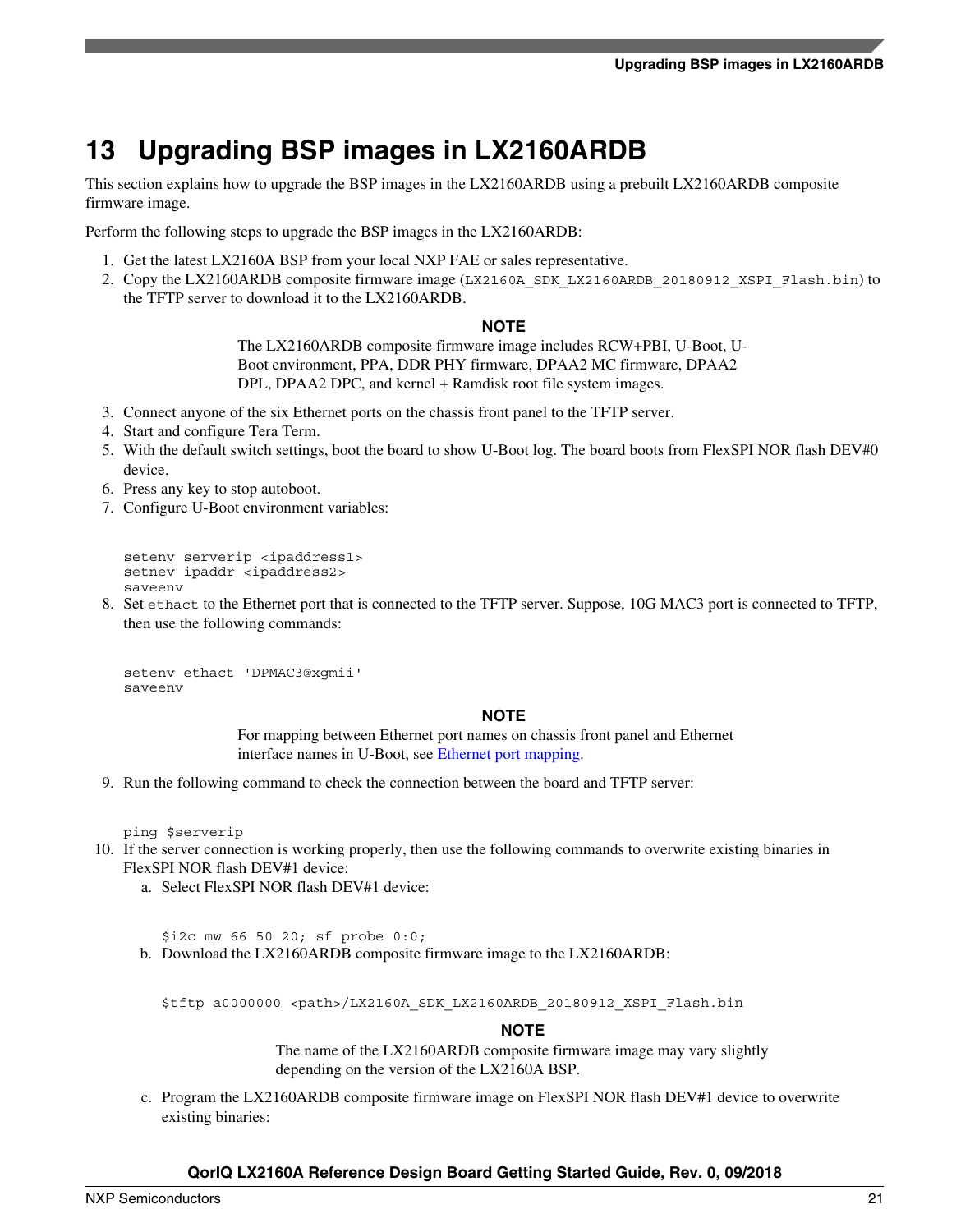# **13 Upgrading BSP images in LX2160ARDB**

This section explains how to upgrade the BSP images in the LX2160ARDB using a prebuilt LX2160ARDB composite firmware image.

Perform the following steps to upgrade the BSP images in the LX2160ARDB:

- 1. Get the latest LX2160A BSP from your local NXP FAE or sales representative.
- 2. Copy the LX2160ARDB composite firmware image (LX2160A\_SDK\_LX2160ARDB\_20180912\_XSPI\_Flash.bin) to the TFTP server to download it to the LX2160ARDB.

#### **NOTE**

The LX2160ARDB composite firmware image includes RCW+PBI, U-Boot, U-Boot environment, PPA, DDR PHY firmware, DPAA2 MC firmware, DPAA2 DPL, DPAA2 DPC, and kernel + Ramdisk root file system images.

- 3. Connect anyone of the six Ethernet ports on the chassis front panel to the TFTP server.
- 4. Start and configure Tera Term.
- 5. With the default switch settings, boot the board to show U-Boot log. The board boots from FlexSPI NOR flash DEV#0 device.
- 6. Press any key to stop autoboot.
- 7. Configure U-Boot environment variables:

```
setenv serverip <ipaddress1>
setnev ipaddr <ipaddress2>
saveenv
```
8. Set ethact to the Ethernet port that is connected to the TFTP server. Suppose, 10G MAC3 port is connected to TFTP, then use the following commands:

```
setenv ethact 'DPMAC3@xgmii'
saveenv
```
#### **NOTE**

For mapping between Ethernet port names on chassis front panel and Ethernet interface names in U-Boot, see [Ethernet port mapping](#page-19-0).

9. Run the following command to check the connection between the board and TFTP server:

ping \$serverip

- 10. If the server connection is working properly, then use the following commands to overwrite existing binaries in FlexSPI NOR flash DEV#1 device:
	- a. Select FlexSPI NOR flash DEV#1 device:

\$i2c mw 66 50 20; sf probe 0:0;

b. Download the LX2160ARDB composite firmware image to the LX2160ARDB:

\$tftp a0000000 <path>/LX2160A\_SDK\_LX2160ARDB\_20180912\_XSPI\_Flash.bin

#### **NOTE**

The name of the LX2160ARDB composite firmware image may vary slightly depending on the version of the LX2160A BSP.

c. Program the LX2160ARDB composite firmware image on FlexSPI NOR flash DEV#1 device to overwrite existing binaries: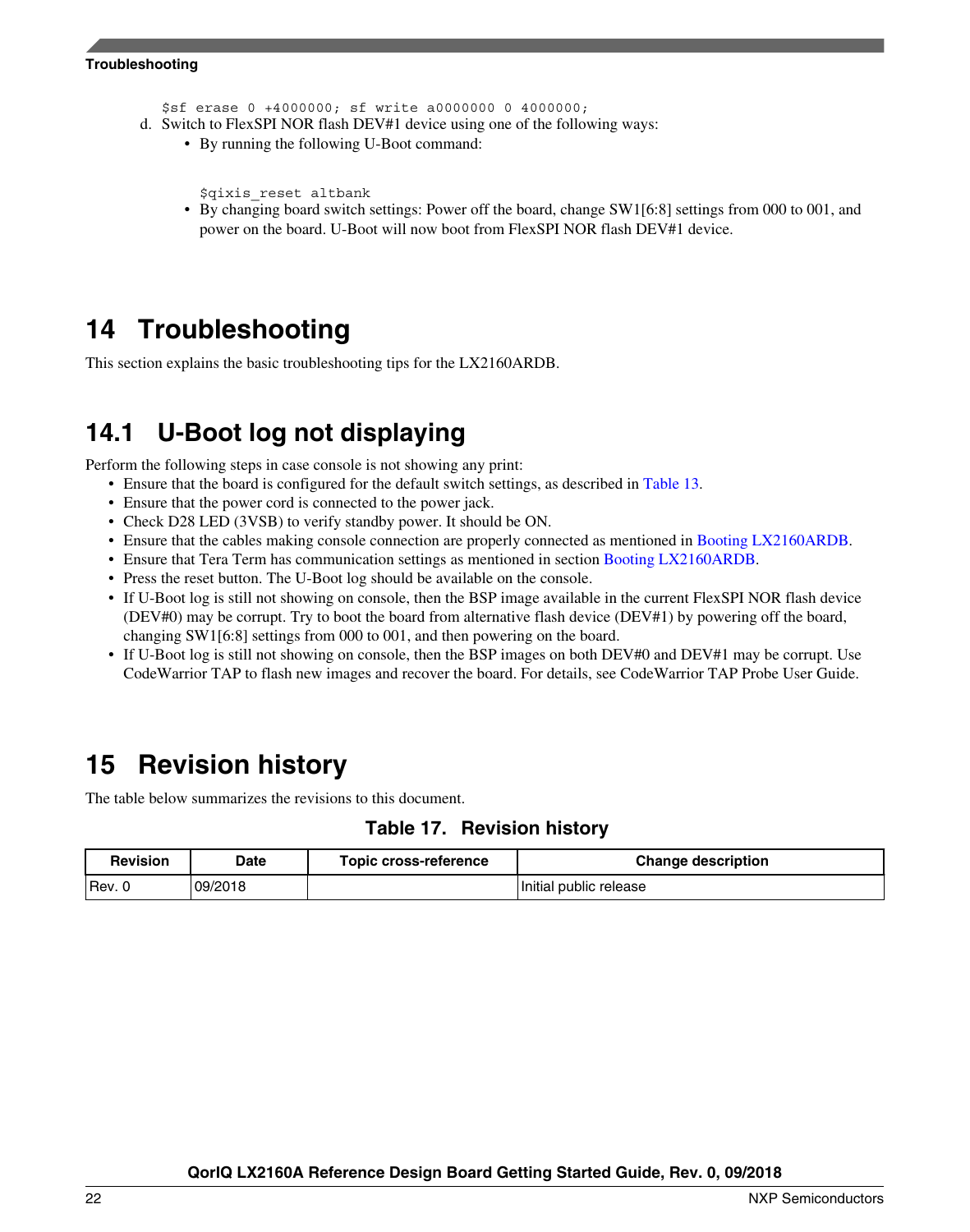#### **Troubleshooting**

\$sf erase 0 +4000000; sf write a0000000 0 4000000;

- d. Switch to FlexSPI NOR flash DEV#1 device using one of the following ways:
	- By running the following U-Boot command:

```
$qixis_reset altbank
```
• By changing board switch settings: Power off the board, change SW1[6:8] settings from 000 to 001, and power on the board. U-Boot will now boot from FlexSPI NOR flash DEV#1 device.

## **14 Troubleshooting**

This section explains the basic troubleshooting tips for the LX2160ARDB.

## **14.1 U-Boot log not displaying**

Perform the following steps in case console is not showing any print:

- Ensure that the board is configured for the default switch settings, as described in [Table 13](#page-13-0).
- Ensure that the power cord is connected to the power jack.
- Check D28 LED (3VSB) to verify standby power. It should be ON.
- Ensure that the cables making console connection are properly connected as mentioned in [Booting LX2160ARDB.](#page-14-0)
- Ensure that Tera Term has communication settings as mentioned in section [Booting LX2160ARDB.](#page-14-0)
- Press the reset button. The U-Boot log should be available on the console.
- If U-Boot log is still not showing on console, then the BSP image available in the current FlexSPI NOR flash device (DEV#0) may be corrupt. Try to boot the board from alternative flash device (DEV#1) by powering off the board, changing SW1[6:8] settings from 000 to 001, and then powering on the board.
- If U-Boot log is still not showing on console, then the BSP images on both DEV#0 and DEV#1 may be corrupt. Use CodeWarrior TAP to flash new images and recover the board. For details, see CodeWarrior TAP Probe User Guide.

## **15 Revision history**

The table below summarizes the revisions to this document.

### **Table 17. Revision history**

| <b>Revision</b> | <b>Date</b> | Topic cross-reference | <b>Change description</b> |
|-----------------|-------------|-----------------------|---------------------------|
| 'Rev.           | 09/2018     |                       | Initial public release    |